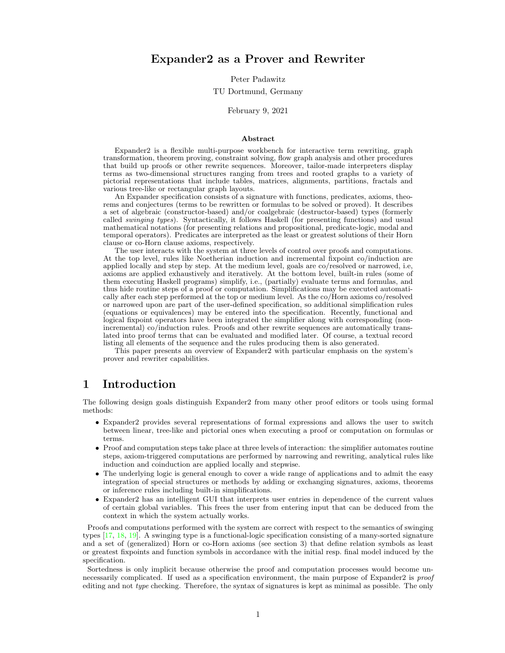#### Peter Padawitz

#### TU Dortmund, Germany

#### February 9, 2021

#### Abstract

Expander2 is a flexible multi-purpose workbench for interactive term rewriting, graph transformation, theorem proving, constraint solving, flow graph analysis and other procedures that build up proofs or other rewrite sequences. Moreover, tailor-made interpreters display terms as two-dimensional structures ranging from trees and rooted graphs to a variety of pictorial representations that include tables, matrices, alignments, partitions, fractals and various tree-like or rectangular graph layouts.

An Expander specification consists of a signature with functions, predicates, axioms, theorems and conjectures (terms to be rewritten or formulas to be solved or proved). It describes a set of algebraic (constructor-based) and/or coalgebraic (destructor-based) types (formerly called swinging types). Syntactically, it follows Haskell (for presenting functions) and usual mathematical notations (for presenting relations and propositional, predicate-logic, modal and temporal operators). Predicates are interpreted as the least or greatest solutions of their Horn clause or co-Horn clause axioms, respectively.

The user interacts with the system at three levels of control over proofs and computations. At the top level, rules like Noetherian induction and incremental fixpoint co/induction are applied locally and step by step. At the medium level, goals are co/resolved or narrowed, i.e, axioms are applied exhaustively and iteratively. At the bottom level, built-in rules (some of them executing Haskell programs) simplify, i.e., (partially) evaluate terms and formulas, and thus hide routine steps of a proof or computation. Simplifications may be executed automatically after each step performed at the top or medium level. As the co/Horn axioms co/resolved or narrowed upon are part of the user-defined specification, so additional simplification rules (equations or equivalences) may be entered into the specification. Recently, functional and logical fixpoint operators have been integrated the simplifier along with corresponding (nonincremental) co/induction rules. Proofs and other rewrite sequences are automatically translated into proof terms that can be evaluated and modified later. Of course, a textual record listing all elements of the sequence and the rules producing them is also generated.

This paper presents an overview of Expander2 with particular emphasis on the system's prover and rewriter capabilities.

# 1 Introduction

The following design goals distinguish Expander2 from many other proof editors or tools using formal methods:

- Expander2 provides several representations of formal expressions and allows the user to switch between linear, tree-like and pictorial ones when executing a proof or computation on formulas or terms.
- Proof and computation steps take place at three levels of interaction: the simplifier automates routine steps, axiom-triggered computations are performed by narrowing and rewriting, analytical rules like induction and coinduction are applied locally and stepwise.
- The underlying logic is general enough to cover a wide range of applications and to admit the easy integration of special structures or methods by adding or exchanging signatures, axioms, theorems or inference rules including built-in simplifications.
- Expander2 has an intelligent GUI that interprets user entries in dependence of the current values of certain global variables. This frees the user from entering input that can be deduced from the context in which the system actually works.

Proofs and computations performed with the system are correct with respect to the semantics of swinging types [\[17,](#page-22-0) [18,](#page-22-1) [19\]](#page-22-2). A swinging type is a functional-logic specification consisting of a many-sorted signature and a set of (generalized) Horn or co-Horn axioms (see section 3) that define relation symbols as least or greatest fixpoints and function symbols in accordance with the initial resp. final model induced by the specification.

Sortedness is only implicit because otherwise the proof and computation processes would become unnecessarily complicated. If used as a specification environment, the main purpose of Expander2 is proof editing and not type checking. Therefore, the syntax of signatures is kept as minimal as possible. The only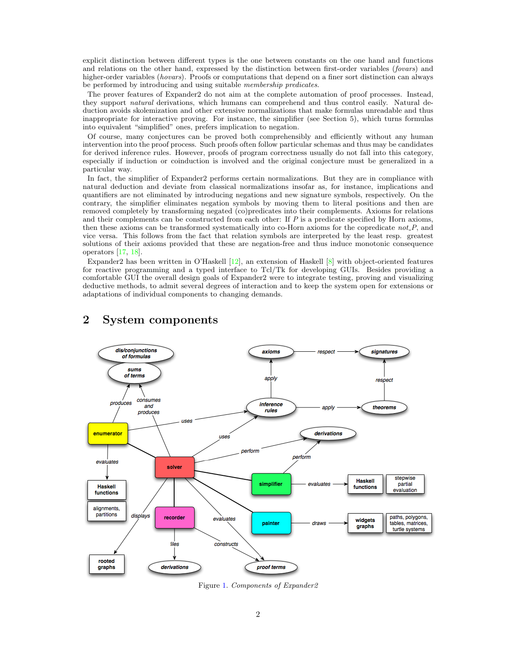explicit distinction between different types is the one between constants on the one hand and functions and relations on the other hand, expressed by the distinction between first-order variables (fovars) and higher-order variables (hovars). Proofs or computations that depend on a finer sort distinction can always be performed by introducing and using suitable membership predicates.

The prover features of Expander2 do not aim at the complete automation of proof processes. Instead, they support natural derivations, which humans can comprehend and thus control easily. Natural deduction avoids skolemization and other extensive normalizations that make formulas unreadable and thus inappropriate for interactive proving. For instance, the simplifier (see Section 5), which turns formulas into equivalent "simplified" ones, prefers implication to negation.

Of course, many conjectures can be proved both comprehensibly and efficiently without any human intervention into the proof process. Such proofs often follow particular schemas and thus may be candidates for derived inference rules. However, proofs of program correctness usually do not fall into this category, especially if induction or coinduction is involved and the original conjecture must be generalized in a particular way.

In fact, the simplifier of Expander2 performs certain normalizations. But they are in compliance with natural deduction and deviate from classical normalizations insofar as, for instance, implications and quantifiers are not eliminated by introducing negations and new signature symbols, respectively. On the contrary, the simplifier eliminates negation symbols by moving them to literal positions and then are removed completely by transforming negated (co)predicates into their complements. Axioms for relations and their complements can be constructed from each other: If  $P$  is a predicate specified by Horn axioms, then these axioms can be transformed systematically into co-Horn axioms for the copredicate not  $P$ , and vice versa. This follows from the fact that relation symbols are interpreted by the least resp. greatest solutions of their axioms provided that these are negation-free and thus induce monotonic consequence operators [\[17,](#page-22-0) [18\]](#page-22-1).

Expander2 has been written in O'Haskell [\[12\]](#page-22-3), an extension of Haskell [\[8\]](#page-22-4) with object-oriented features for reactive programming and a typed interface to Tcl/Tk for developing GUIs. Besides providing a comfortable GUI the overall design goals of Expander2 were to integrate testing, proving and visualizing deductive methods, to admit several degrees of interaction and to keep the system open for extensions or adaptations of individual components to changing demands.

<span id="page-1-0"></span>

### 2 System components

Figure [1.](#page-1-0) Components of Expander2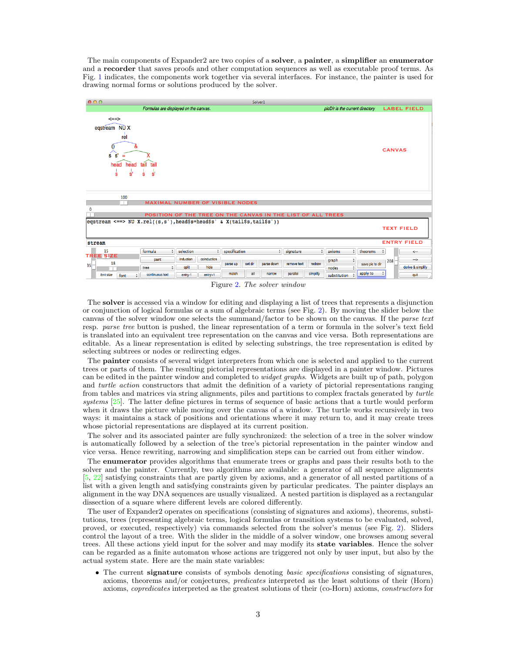The main components of Expander2 are two copies of a solver, a painter, a simplifier an enumerator and a recorder that saves proofs and other computation sequences as well as executable proof terms. As Fig. [1](#page-1-0) indicates, the components work together via several interfaces. For instance, the painter is used for drawing normal forms or solutions produced by the solver.

<span id="page-2-0"></span>

Figure [2.](#page-2-0) The solver window

The solver is accessed via a window for editing and displaying a list of trees that represents a disjunction or conjunction of logical formulas or a sum of algebraic terms (see Fig. [2\)](#page-2-0). By moving the slider below the canvas of the solver window one selects the summand/factor to be shown on the canvas. If the parse text resp. parse tree button is pushed, the linear representation of a term or formula in the solver's text field is translated into an equivalent tree representation on the canvas and vice versa. Both representations are editable. As a linear representation is edited by selecting substrings, the tree representation is edited by selecting subtrees or nodes or redirecting edges.

The painter consists of several widget interpreters from which one is selected and applied to the current trees or parts of them. The resulting pictorial representations are displayed in a painter window. Pictures can be edited in the painter window and completed to widget graphs. Widgets are built up of path, polygon and turtle action constructors that admit the definition of a variety of pictorial representations ranging from tables and matrices via string alignments, piles and partitions to complex fractals generated by turtle systems  $[25]$ . The latter define pictures in terms of sequence of basic actions that a turtle would perform when it draws the picture while moving over the canvas of a window. The turtle works recursively in two ways: it maintains a stack of positions and orientations where it may return to, and it may create trees whose pictorial representations are displayed at its current position.

The solver and its associated painter are fully synchronized: the selection of a tree in the solver window is automatically followed by a selection of the tree's pictorial representation in the painter window and vice versa. Hence rewriting, narrowing and simplification steps can be carried out from either window.

The enumerator provides algorithms that enumerate trees or graphs and pass their results both to the solver and the painter. Currently, two algorithms are available: a generator of all sequence alignments [\[5,](#page-21-0) [22\]](#page-22-6) satisfying constraints that are partly given by axioms, and a generator of all nested partitions of a list with a given length and satisfying constraints given by particular predicates. The painter displays an alignment in the way DNA sequences are usually visualized. A nested partition is displayed as a rectangular dissection of a square where different levels are colored differently.

The user of Expander2 operates on specifications (consisting of signatures and axioms), theorems, substitutions, trees (representing algebraic terms, logical formulas or transition systems to be evaluated, solved, proved, or executed, respectively) via commands selected from the solver's menus (see Fig. [2\)](#page-2-0). Sliders control the layout of a tree. With the slider in the middle of a solver window, one browses among several trees. All these actions yield input for the solver and may modify its state variables. Hence the solver can be regarded as a finite automaton whose actions are triggered not only by user input, but also by the actual system state. Here are the main state variables:

• The current signature consists of symbols denoting *basic specifications* consisting of signatures, axioms, theorems and/or conjectures, predicates interpreted as the least solutions of their (Horn) axioms, copredicates interpreted as the greatest solutions of their (co-Horn) axioms, constructors for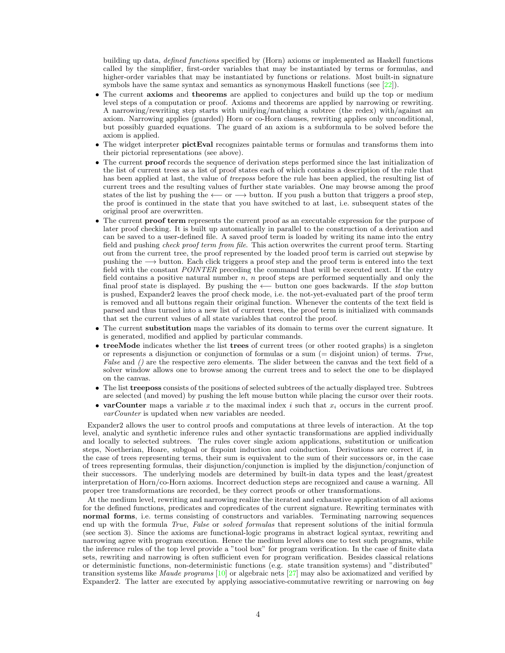building up data, defined functions specified by (Horn) axioms or implemented as Haskell functions called by the simplifier, first-order variables that may be instantiated by terms or formulas, and higher-order variables that may be instantiated by functions or relations. Most built-in signature symbols have the same syntax and semantics as synonymous Haskell functions (see  $[22]$ ).

- The current axioms and theorems are applied to conjectures and build up the top or medium level steps of a computation or proof. Axioms and theorems are applied by narrowing or rewriting. A narrowing/rewriting step starts with unifying/matching a subtree (the redex) with/against an axiom. Narrowing applies (guarded) Horn or co-Horn clauses, rewriting applies only unconditional, but possibly guarded equations. The guard of an axiom is a subformula to be solved before the axiom is applied.
- The widget interpreter **pictEval** recognizes paintable terms or formulas and transforms them into their pictorial representations (see above).
- The current **proof** records the sequence of derivation steps performed since the last initialization of the list of current trees as a list of proof states each of which contains a description of the rule that has been applied at last, the value of treeposs before the rule has been applied, the resulting list of current trees and the resulting values of further state variables. One may browse among the proof states of the list by pushing the  $\leftarrow$  or  $\rightarrow$  button. If you push a button that triggers a proof step, the proof is continued in the state that you have switched to at last, i.e. subsequent states of the original proof are overwritten.
- The current proof term represents the current proof as an executable expression for the purpose of later proof checking. It is built up automatically in parallel to the construction of a derivation and can be saved to a user-defined file. A saved proof term is loaded by writing its name into the entry field and pushing check proof term from file. This action overwrites the current proof term. Starting out from the current tree, the proof represented by the loaded proof term is carried out stepwise by pushing the −→ button. Each click triggers a proof step and the proof term is entered into the text field with the constant POINTER preceding the command that will be executed next. If the entry field contains a positive natural number  $n$ ,  $n$  proof steps are performed sequentially and only the final proof state is displayed. By pushing the  $\leftarrow$  button one goes backwards. If the stop button is pushed, Expander2 leaves the proof check mode, i.e. the not-yet-evaluated part of the proof term is removed and all buttons regain their original function. Whenever the contents of the text field is parsed and thus turned into a new list of current trees, the proof term is initialized with commands that set the current values of all state variables that control the proof.
- The current substitution maps the variables of its domain to terms over the current signature. It is generated, modified and applied by particular commands.
- treeMode indicates whether the list trees of current trees (or other rooted graphs) is a singleton or represents a disjunction or conjunction of formulas or a sum (= disjoint union) of terms. True, False and () are the respective zero elements. The slider between the canvas and the text field of a solver window allows one to browse among the current trees and to select the one to be displayed on the canvas.
- The list **treeposs** consists of the positions of selected subtrees of the actually displayed tree. Subtrees are selected (and moved) by pushing the left mouse button while placing the cursor over their roots.
- varCounter maps a variable x to the maximal index i such that  $x_i$  occurs in the current proof. varCounter is updated when new variables are needed.

Expander2 allows the user to control proofs and computations at three levels of interaction. At the top level, analytic and synthetic inference rules and other syntactic transformations are applied individually and locally to selected subtrees. The rules cover single axiom applications, substitution or unification steps, Noetherian, Hoare, subgoal or fixpoint induction and coinduction. Derivations are correct if, in the case of trees representing terms, their sum is equivalent to the sum of their successors or, in the case of trees representing formulas, their disjunction/conjunction is implied by the disjunction/conjunction of their successors. The underlying models are determined by built-in data types and the least/greatest interpretation of Horn/co-Horn axioms. Incorrect deduction steps are recognized and cause a warning. All proper tree transformations are recorded, be they correct proofs or other transformations.

At the medium level, rewriting and narrowing realize the iterated and exhaustive application of all axioms for the defined functions, predicates and copredicates of the current signature. Rewriting terminates with normal forms, i.e. terms consisting of constructors and variables. Terminating narrowing sequences end up with the formula True, False or solved formulas that represent solutions of the initial formula (see section 3). Since the axioms are functional-logic programs in abstract logical syntax, rewriting and narrowing agree with program execution. Hence the medium level allows one to test such programs, while the inference rules of the top level provide a "tool box" for program verification. In the case of finite data sets, rewriting and narrowing is often sufficient even for program verification. Besides classical relations or deterministic functions, non-deterministic functions (e.g. state transition systems) and "distributed" transition systems like Maude programs [\[10\]](#page-22-7) or algebraic nets [\[27\]](#page-22-8) may also be axiomatized and verified by Expander2. The latter are executed by applying associative-commutative rewriting or narrowing on bag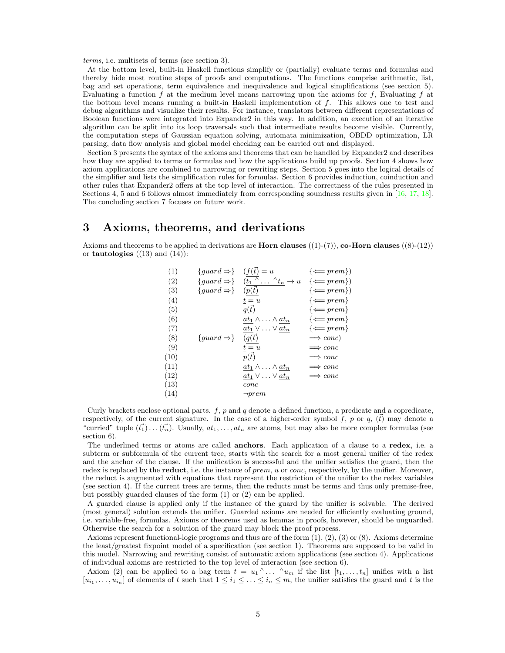terms, i.e. multisets of terms (see section 3).

At the bottom level, built-in Haskell functions simplify or (partially) evaluate terms and formulas and thereby hide most routine steps of proofs and computations. The functions comprise arithmetic, list, bag and set operations, term equivalence and inequivalence and logical simplifications (see section 5). Evaluating a function  $f$  at the medium level means narrowing upon the axioms for  $f$ , Evaluating  $f$  at the bottom level means running a built-in Haskell implementation of f. This allows one to test and debug algorithms and visualize their results. For instance, translators between different representations of Boolean functions were integrated into Expander2 in this way. In addition, an execution of an iterative algorithm can be split into its loop traversals such that intermediate results become visible. Currently, the computation steps of Gaussian equation solving, automata minimization, OBDD optimization, LR parsing, data flow analysis and global model checking can be carried out and displayed.

Section 3 presents the syntax of the axioms and theorems that can be handled by Expander2 and describes how they are applied to terms or formulas and how the applications build up proofs. Section 4 shows how axiom applications are combined to narrowing or rewriting steps. Section 5 goes into the logical details of the simplifier and lists the simplification rules for formulas. Section 6 provides induction, coinduction and other rules that Expander2 offers at the top level of interaction. The correctness of the rules presented in Sections 4, 5 and 6 follows almost immediately from corresponding soundness results given in [\[16,](#page-22-9) [17,](#page-22-0) [18\]](#page-22-1). The concluding section 7 focuses on future work.

### 3 Axioms, theorems, and derivations

Axioms and theorems to be applied in derivations are **Horn clauses**  $((1)-(7))$ , **co-Horn clauses**  $((8)-(12))$ or **tautologies**  $((13)$  and  $(14))$ :

| (1)  | $\{guard \Rightarrow\}$ | $(f(\vec{t})=u)$                                               | $\{\Longleftarrow \text{prem}\}\)$ |
|------|-------------------------|----------------------------------------------------------------|------------------------------------|
| (2)  | ${quard \Rightarrow}$   | $(\overline{t_1}^{\wedge} \ldots ^{\wedge} t_n \rightarrow u)$ | $\{\leftarrow rem\}$               |
| (3)  | ${quard \Rightarrow}$   | $(p(\vec{t})$                                                  | $\{\leftarrow rem\}$               |
| (4)  |                         | $t=u$                                                          | $\{\leftarrow rem\}$               |
| (5)  |                         | q(t)                                                           | $\{\Leftarrow prem\}$              |
| (6)  |                         | $at_1 \wedge \ldots \wedge at_n$                               | $\{\Leftarrow prem\}$              |
| (7)  |                         | $at_1 \vee \ldots \vee at_n$                                   | $\{\leftarrow rem\}$               |
| (8)  | $\{guard \Rightarrow\}$ | (q(t)                                                          | $\implies conc)$                   |
| (9)  |                         | $t = u$                                                        | $\Rightarrow$ conc                 |
| (10) |                         | p(t)                                                           | $\Longrightarrow$ conc             |
| (11) |                         | $at_1 \wedge \ldots \wedge at_n$                               | $\Longrightarrow$ conc             |
| (12) |                         | $at_1 \vee \ldots \vee at_n$                                   | $\Rightarrow$ conc                 |
| (13) |                         | conc                                                           |                                    |
| (14) |                         | $\neg \textit{prem}$                                           |                                    |

Curly brackets enclose optional parts.  $f, p$  and  $q$  denote a defined function, a predicate and a copredicate, respectively, of the current signature. In the case of a higher-order symbol f, p or q,  $(\vec{t})$  may denote a "curried" tuple  $(\vec{t}_1) \dots (\vec{t}_n)$ . Usually,  $at_1, \dots, at_n$  are atoms, but may also be more complex formulas (see section 6).

The underlined terms or atoms are called **anchors**. Each application of a clause to a redex, i.e. a subterm or subformula of the current tree, starts with the search for a most general unifier of the redex and the anchor of the clause. If the unification is successful and the unifier satisfies the guard, then the redex is replaced by the **reduct**, i.e. the instance of prem, u or conc, respectively, by the unifier. Moreover, the reduct is augmented with equations that represent the restriction of the unifier to the redex variables (see section 4). If the current trees are terms, then the reducts must be terms and thus only premise-free, but possibly guarded clauses of the form (1) or (2) can be applied.

A guarded clause is applied only if the instance of the guard by the unifier is solvable. The derived (most general) solution extends the unifier. Guarded axioms are needed for efficiently evaluating ground, i.e. variable-free, formulas. Axioms or theorems used as lemmas in proofs, however, should be unguarded. Otherwise the search for a solution of the guard may block the proof process.

Axioms represent functional-logic programs and thus are of the form  $(1), (2), (3)$  or  $(8)$ . Axioms determine the least/greatest fixpoint model of a specification (see section 1). Theorems are supposed to be valid in this model. Narrowing and rewriting consist of automatic axiom applications (see section 4). Applications of individual axioms are restricted to the top level of interaction (see section 6).

Axiom (2) can be applied to a bag term  $t = u_1 \wedge \ldots \wedge u_m$  if the list  $[t_1, \ldots, t_n]$  unifies with a list  $[u_{i_1},...,u_{i_n}]$  of elements of t such that  $1 \leq i_1 \leq \ldots \leq i_n \leq m$ , the unifier satisfies the guard and t is the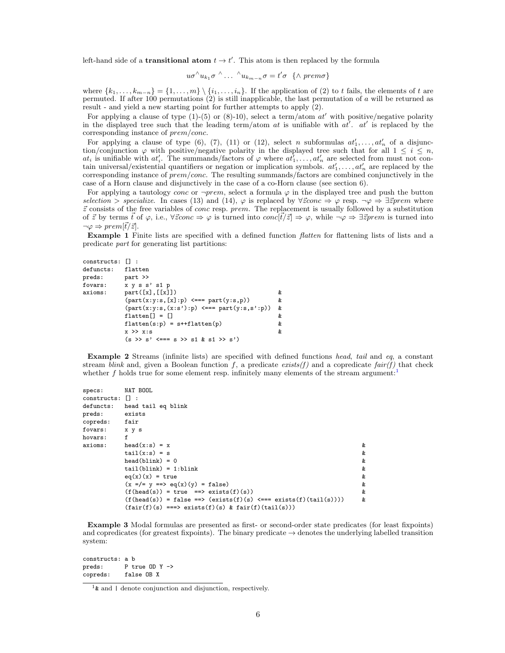left-hand side of a **transitional atom**  $t \to t'$ . This atom is then replaced by the formula

$$
u\sigma^{\wedge}u_{k_1}\sigma^{\wedge}\ldots^{\wedge}u_{k_{m-n}}\sigma=t'\sigma\ \{\wedge\ prem\sigma\}
$$

where  $\{k_1, \ldots, k_{m-n}\} = \{1, \ldots, m\} \setminus \{i_1, \ldots, i_n\}$ . If the application of (2) to t fails, the elements of t are permuted. If after 100 permutations (2) is still inapplicable, the last permutation of a will be returned as result - and yield a new starting point for further attempts to apply  $(2)$ .

For applying a clause of type  $(1)-(5)$  or  $(8)-10$ , select a term/atom at' with positive/negative polarity in the displayed tree such that the leading term/atom at is unifiable with  $a\dot{t}$ ,  $at'$  is replaced by the corresponding instance of prem/conc.

For applying a clause of type (6), (7), (11) or (12), select n subformulas  $at'_1, \ldots, at'_n$  of a disjunction/conjunction  $\varphi$  with positive/negative polarity in the displayed tree such that for all  $1 \leq i \leq n$ , at<sub>i</sub> is unifiable with at'<sub>i</sub>. The summands/factors of  $\varphi$  where  $a t_1, \ldots, a t_n$  are selected from must not contain universal/existential quantifiers or negation or implication symbols.  $at'_1, \ldots, at'_n$  are replaced by the corresponding instance of prem/conc. The resulting summands/factors are combined conjunctively in the case of a Horn clause and disjunctively in the case of a co-Horn clause (see section 6).

For applying a tautology conc or  $\neg\textit{prem}$ , select a formula  $\varphi$  in the displayed tree and push the button selection > specialize. In cases (13) and (14),  $\varphi$  is replaced by  $\forall \vec{z} con c \Rightarrow \varphi$  resp.  $\neg \varphi \Rightarrow \exists \vec{z} prem$  where  $\vec{z}$  consists of the free variables of *conc* resp. prem. The replacement is usually followed by a substitution of  $\vec{z}$  by terms  $\vec{t}$  of  $\varphi$ , i.e.,  $\forall \vec{z} conc \Rightarrow \varphi$  is turned into  $conc[\vec{t}/\vec{z}] \Rightarrow \varphi$ , while  $\neg \varphi \Rightarrow \exists \vec{z} prem$  is turned into  $\neg \varphi \Rightarrow \text{prem}[\vec{t}/\vec{z}].$ 

Example 1 Finite lists are specified with a defined function flatten for flattening lists of lists and a predicate part for generating list partitions:

```
constructs: [] :
defuncts: flatten
preds: part >><br>fovars: x y s s
         fovars: x y s s' s1 p
axioms: part([x],[[x]]) &
          (\text{part}(x:y:s,[x]:p) \leq == \text{part}(y:s,p)) &
          (part(x:y:s,(x:s'):p) \leq == part(y:s,s':p)) &
         flatten[] = [] &
         flatten(s:p) = s++flatten(p) &
         x >> x:s &
          (s \gg s' \iff s = s \gg s1 \& s1 \gg s')
```
Example 2 Streams (infinite lists) are specified with defined functions head, tail and eq, a constant stream blink and, given a Boolean function f, a predicate  $exists(f)$  and a copredicate  $fair(f)$  that check whether  $f$  holds true for some element resp. infinitely many elements of the stream argument:

| species:         | NAT BOOL                                                               |   |
|------------------|------------------------------------------------------------------------|---|
| constructs: [] : |                                                                        |   |
| defuncts:        | head tail eq blink                                                     |   |
| $_{\rm preds}$ : | exists                                                                 |   |
| copreds:         | fair                                                                   |   |
| fovars:          | x y s                                                                  |   |
| hovars:          | f                                                                      |   |
| axioms:          | $head(x:s) = x$                                                        | & |
|                  | $tail(x:s) = s$                                                        | & |
|                  | $head(blink) = 0$                                                      | & |
|                  | $tail(blink) = 1:blink$                                                | & |
|                  | $eq(x)(x) = true$                                                      | & |
|                  | $(x =/- y == > eq(x)(y) = false)$                                      | & |
|                  | $(f(head(s)) = true == > exists(f)(s))$                                | & |
|                  | $(f(head(s)) = false == \ (exists (f)(s) \leq == exists(f)(tail(s))))$ | & |
|                  | $(fair(f)(s) == > exists(f)(s) & fair(f)(tail(s)))$                    |   |
|                  |                                                                        |   |

Example 3 Modal formulas are presented as first- or second-order state predicates (for least fixpoints) and copredicates (for greatest fixpoints). The binary predicate  $\rightarrow$  denotes the underlying labelled transition system:

constructs: a b preds: P true OD Y -> copreds: false OB X

<span id="page-5-0"></span> $1_{\&}$  and | denote conjunction and disjunction, respectively.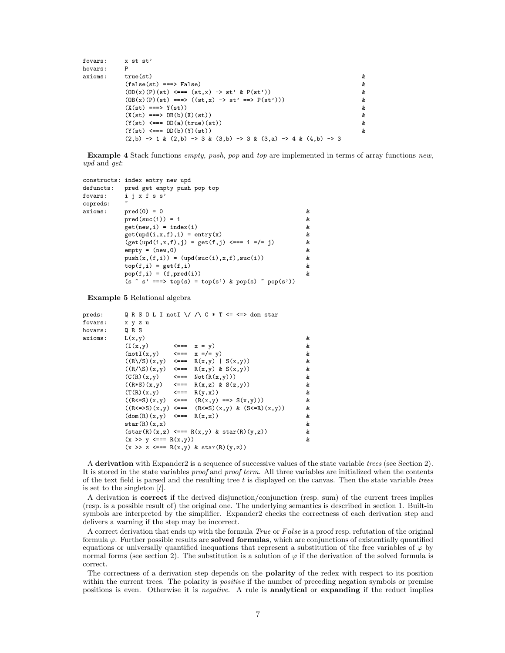| fovars: | x st st'                                                                                                          |   |
|---------|-------------------------------------------------------------------------------------------------------------------|---|
| hovars: | P                                                                                                                 |   |
| axioms: | true(st)                                                                                                          | & |
|         | $(false(st) ==> False)$                                                                                           | & |
|         | $(OD(x)(P)(st) \leq = = (st,x) \Rightarrow st' \& P(st'))$                                                        | & |
|         | $(OB(x)(P)(st) == \gt( (st.x) -> st' == \gt( (st')) )$                                                            | & |
|         | $(X(st) == > Y(st))$                                                                                              | & |
|         | $(X(st) == > OB(b)(X)(st))$                                                                                       | & |
|         | $(Y(st) \leq == \text{OD}(a)(true)(st))$                                                                          | & |
|         | $(Y(st) \leq == DD(b)(Y)(st))$                                                                                    | & |
|         | $(2,b) \rightarrow 1 \& (2,b) \rightarrow 3 \& (3,b) \rightarrow 3 \& (3,a) \rightarrow 4 \& (4,b) \rightarrow 3$ |   |

Example 4 Stack functions *empty, push, pop* and *top* are implemented in terms of array functions *new*, upd and get:

```
constructs: index entry new upd
defuncts: pred get empty push pop top
fovars: i j x f s s'
copreds: ~
axioms: pred(0) = 0 &
          pred(suc(i)) = i &<br>
get(new, i) = index(i) &
          get(new,i) = index(i)<br>
get(upd(i, x, f), i) = entry(x) &
          get(upd(i, x, f), i) = entry(x)(\texttt{get}(\texttt{upd}(i, x, f), j) \; = \; \texttt{get}(f, j) \; \texttt{<=} = \; i \; \texttt{=}/\texttt{=} \; j) \qquad \qquad \& \qquadempty = (new,0) &
           push(x,(f,i)) = (upd(suc(i),x,f),suc(i)) &
           top(f, i) = get(f, i) &
           pop(f, i) = (f, pred(i)) &
           (s ~ s' ===> top(s) = top(s') & pop(s) ~ pop(s'))
```
Example 5 Relational algebra

```
preds: Q \, R \, S \, O \, L \, I \text{ not} I \ \setminus / \ \setminus C \, * \, T \ \le \le \ \ge \ \text{dom star}fovars: x y z u
hovars: Q R S
axioms: L(x,y) &
                (L(x, y) \iff x = y &<br>
(n \text{ot} L(x, y) \iff z == x = y = y &
                (\text{notI}(x,y) \quad \text{--- } x =/- y)<br>
((R\setminus S)(x,y) \quad \text{--- } R(x,y) | S(x,y)) &
                                           R(x,y) | S(x,y))
                ((R/\S)(x,y) \leq == R(x,y) \& S(x,y))<br>
(C(R)(x,y) \leq == Not(R(x,y))) &
                (C(R)(x,y) \leq=-Not(R(x,y)))((R * S)(x,y) \leq == R(x,z) \& S(z,y)) & ((R * S)(x,y) \leq == R(y,x))(T(R)(x,y) <=== R(y,x) => S(x,y) &<br>
(K<sup>2</sup>=S(x,y) <=== (R(x,y) ==> S(x,y)) &
                ((R <= S)(x, y) \leq == (R(x, y) == S(x, y)))((R \le S)(x,y) \le ) === (R \le S)(x,y) & (S \le R)(x,y) & (dom(R)(x,y) \le ) == R(x,z)) & k(\text{dom}(R)(x,y) \leq x == R(x,z))star(R)(x,x) &<br>(star(R)(x,z) <=== R(x,y) & star(R)(y,z)) & &
                (\text{star}(R)(x, z) \leq x) = R(x, y) \& \text{star}(R)(y, z)) & (x \gg y \leq x) = R(x, y) &
                (x \gg y \iff - == R(x,y))(x \gg z \iff x == R(x,y) \& \text{star}(R)(y,z))
```
A derivation with Expander2 is a sequence of successive values of the state variable trees (see Section 2). It is stored in the state variables proof and proof term. All three variables are initialized when the contents of the text field is parsed and the resulting tree  $t$  is displayed on the canvas. Then the state variable trees is set to the singleton  $[t]$ .

A derivation is correct if the derived disjunction/conjunction (resp. sum) of the current trees implies (resp. is a possible result of) the original one. The underlying semantics is described in section 1. Built-in symbols are interpreted by the simplifier. Expander2 checks the correctness of each derivation step and delivers a warning if the step may be incorrect.

A correct derivation that ends up with the formula True or False is a proof resp. refutation of the original formula  $\varphi$ . Further possible results are **solved formulas**, which are conjunctions of existentially quantified equations or universally quantified inequations that represent a substitution of the free variables of  $\varphi$  by normal forms (see section 2). The substitution is a solution of  $\varphi$  if the derivation of the solved formula is correct.

The correctness of a derivation step depends on the polarity of the redex with respect to its position within the current trees. The polarity is *positive* if the number of preceding negation symbols or premise positions is even. Otherwise it is *negative*. A rule is **analytical** or **expanding** if the reduct implies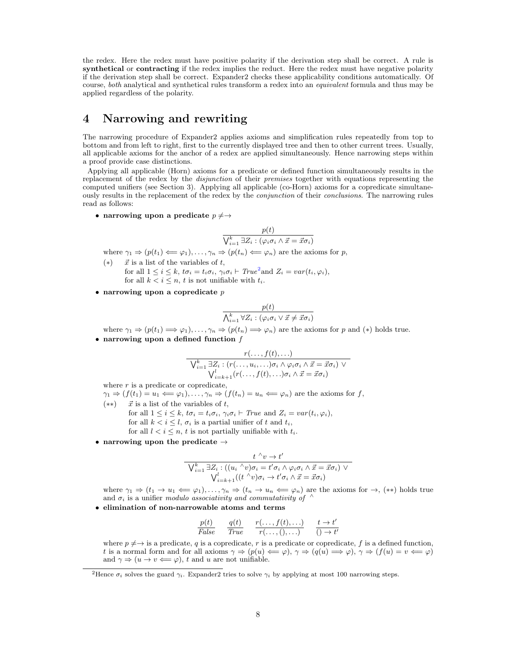the redex. Here the redex must have positive polarity if the derivation step shall be correct. A rule is synthetical or contracting if the redex implies the reduct. Here the redex must have negative polarity if the derivation step shall be correct. Expander2 checks these applicability conditions automatically. Of course, both analytical and synthetical rules transform a redex into an equivalent formula and thus may be applied regardless of the polarity.

### 4 Narrowing and rewriting

The narrowing procedure of Expander2 applies axioms and simplification rules repeatedly from top to bottom and from left to right, first to the currently displayed tree and then to other current trees. Usually, all applicable axioms for the anchor of a redex are applied simultaneously. Hence narrowing steps within a proof provide case distinctions.

Applying all applicable (Horn) axioms for a predicate or defined function simultaneously results in the replacement of the redex by the *disjunction* of their *premises* together with equations representing the computed unifiers (see Section 3). Applying all applicable (co-Horn) axioms for a copredicate simultaneously results in the replacement of the redex by the conjunction of their conclusions. The narrowing rules read as follows:

• narrowing upon a predicate  $p \neq \rightarrow$ 

$$
\frac{p(t)}{\bigvee_{i=1}^{k} \exists Z_{i} : (\varphi_{i} \sigma_{i} \wedge \vec{x} = \vec{x} \sigma_{i})}
$$

where  $\gamma_1 \Rightarrow (p(t_1) \Longleftarrow \varphi_1), \ldots, \gamma_n \Rightarrow (p(t_n) \Longleftarrow \varphi_n)$  are the axioms for p, (\*)  $\vec{x}$  is a list of the variables of t,

- for all  $1 \leq i \leq k$ ,  $t\sigma_i = t_i\sigma_i$ ,  $\gamma_i\sigma_i$   $\vdash$   $True^2$  $True^2$  and  $Z_i = var(t_i, \varphi_i)$ , for all  $k < i \leq n$ , t is not unifiable with  $t_i$ .
- narrowing upon a copredicate  $p$

$$
\frac{p(t)}{\bigwedge_{i=1}^k \forall Z_i : (\varphi_i \sigma_i \lor \vec{x} \neq \vec{x} \sigma_i)}
$$

where  $\gamma_1 \Rightarrow (p(t_1) \Longrightarrow \varphi_1), \ldots, \gamma_n \Rightarrow (p(t_n) \Longrightarrow \varphi_n)$  are the axioms for p and (\*) holds true. • narrowing upon a defined function  $f$ 

$$
\frac{r(\ldots, f(t), \ldots)}{\bigvee_{i=1}^{k} \exists Z_i : (r(\ldots, u_i, \ldots)\sigma_i \wedge \varphi_i \sigma_i \wedge \vec{x} = \vec{x}\sigma_i) \vee \bigvee_{i=k+1}^{l} (r(\ldots, f(t), \ldots)\sigma_i \wedge \vec{x} = \vec{x}\sigma_i)}
$$

where  $r$  is a predicate or copredicate,

 $\gamma_1 \Rightarrow (f(t_1) = u_1 \Longleftarrow \varphi_1), \ldots, \gamma_n \Rightarrow (f(t_n) = u_n \Longleftarrow \varphi_n)$  are the axioms for f,

- $(**)$   $\vec{x}$  is a list of the variables of t. for all  $1 \leq i \leq k$ ,  $t\sigma_i = t_i\sigma_i$ ,  $\gamma_i\sigma_i$   $\vdash$  True and  $Z_i = var(t_i, \varphi_i)$ , for all  $k < i \leq l$ ,  $\sigma_i$  is a partial unifier of t and  $t_i$ , for all  $l < i \leq n$ , t is not partially unifiable with  $t_i$ .
- narrowing upon the predicate  $\rightarrow$

$$
\frac{t^{\wedge} v \to t'}{\bigvee_{i=1}^{k} \exists Z_i : ((u_i^{\wedge} v) \sigma_i = t' \sigma_i \wedge \varphi_i \sigma_i \wedge \vec{x} = \vec{x} \sigma_i) \vee \\\bigvee_{i=k+1}^{l} ((t^{\wedge} v) \sigma_i \to t' \sigma_i \wedge \vec{x} = \vec{x} \sigma_i)
$$

where  $\gamma_1 \Rightarrow (t_1 \rightarrow u_1 \iff \varphi_1), \ldots, \gamma_n \Rightarrow (t_n \rightarrow u_n \iff \varphi_n)$  are the axioms for  $\rightarrow$ , (\*\*) holds true and  $\sigma_i$  is a unifier modulo associativity and commutativity of  $\wedge$ 

• elimination of non-narrowable atoms and terms

$$
\frac{p(t)}{False} \quad \frac{q(t)}{True} \quad \frac{r(\ldots, f(t), \ldots)}{r(\ldots, (), \ldots)} \quad \frac{t \to t'}{( ) \to t'}
$$

where  $p \neq \rightarrow$  is a predicate, q is a copredicate, r is a predicate or copredicate, f is a defined function, t is a normal form and for all axioms  $\gamma \Rightarrow (p(u) \Longleftarrow \varphi), \gamma \Rightarrow (q(u) \Rightarrow \varphi), \gamma \Rightarrow (f(u) = v \Longleftarrow \varphi)$ and  $\gamma \Rightarrow (u \rightarrow v \Longleftarrow \varphi)$ , t and u are not unifiable.

<span id="page-7-0"></span><sup>&</sup>lt;sup>2</sup>Hence  $\sigma_i$  solves the guard  $\gamma_i$ . Expander2 tries to solve  $\gamma_i$  by applying at most 100 narrowing steps.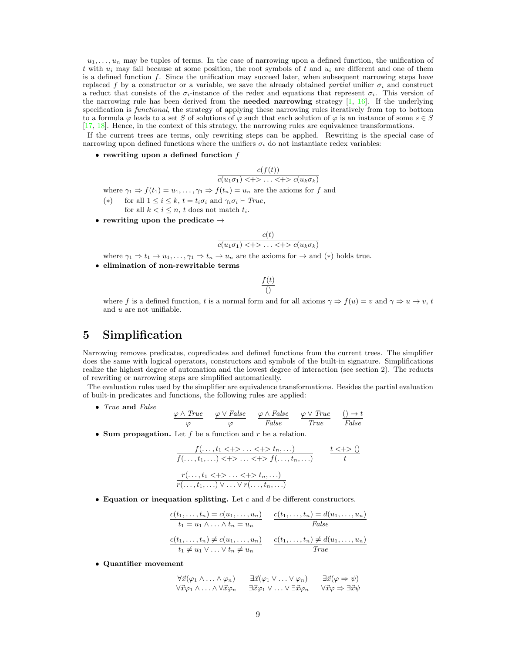$u_1, \ldots, u_n$  may be tuples of terms. In the case of narrowing upon a defined function, the unification of t with  $u_i$  may fail because at some position, the root symbols of t and  $u_i$  are different and one of them is a defined function  $f$ . Since the unification may succeed later, when subsequent narrowing steps have replaced f by a constructor or a variable, we save the already obtained partial unifier  $\sigma_i$  and construct a reduct that consists of the  $\sigma_i$ -instance of the redex and equations that represent  $\sigma_i$ . This version of the narrowing rule has been derived from the **needed narrowing** strategy  $[1, 16]$  $[1, 16]$  $[1, 16]$ . If the underlying specification is functional, the strategy of applying these narrowing rules iteratively from top to bottom to a formula  $\varphi$  leads to a set S of solutions of  $\varphi$  such that each solution of  $\varphi$  is an instance of some  $s \in S$ [\[17,](#page-22-0) [18\]](#page-22-1). Hence, in the context of this strategy, the narrowing rules are equivalence transformations.

If the current trees are terms, only rewriting steps can be applied. Rewriting is the special case of narrowing upon defined functions where the unifiers  $\sigma_i$  do not instantiate redex variables:

#### • rewriting upon a defined function  $f$

 $c(f(t))$  $c(u_1\sigma_1) \ll\to \ldots \ll\to \llcorner \llcorner (u_k\sigma_k)$ 

where  $\gamma_1 \Rightarrow f(t_1) = u_1, \ldots, \gamma_1 \Rightarrow f(t_n) = u_n$  are the axioms for f and

- (\*) for all  $1 \leq i \leq k$ ,  $t = t_i \sigma_i$  and  $\gamma_i \sigma_i$   $\vdash$  True,
	- for all  $k < i \leq n$ , t does not match  $t_i$ .
- rewriting upon the predicate  $\rightarrow$

$$
\frac{c(t)}{c(u_1\sigma_1) \prec + \succ \ldots \prec + \succ c(u_k\sigma_k)}
$$

- where  $\gamma_1 \Rightarrow t_1 \rightarrow u_1, \ldots, \gamma_1 \Rightarrow t_n \rightarrow u_n$  are the axioms for  $\rightarrow$  and (\*) holds true.
- elimination of non-rewritable terms

$$
\frac{f(t)}{()}
$$

where f is a defined function, t is a normal form and for all axioms  $\gamma \Rightarrow f(u) = v$  and  $\gamma \Rightarrow u \rightarrow v$ , t and u are not unifiable.

### 5 Simplification

Narrowing removes predicates, copredicates and defined functions from the current trees. The simplifier does the same with logical operators, constructors and symbols of the built-in signature. Simplifications realize the highest degree of automation and the lowest degree of interaction (see section 2). The reducts of rewriting or narrowing steps are simplified automatically.

The evaluation rules used by the simplifier are equivalence transformations. Besides the partial evaluation of built-in predicates and functions, the following rules are applied:

• True and False

$$
\frac{\varphi \wedge True}{\varphi} \quad \frac{\varphi \vee False}{\varphi} \quad \frac{\varphi \wedge False}{False} \quad \frac{\varphi \vee True}{True} \quad \frac{() \rightarrow t}{False}
$$

• Sum propagation. Let  $f$  be a function and  $r$  be a relation.

$$
\frac{f(\ldots, t_1 \lt + \gt \ldots \lt + \gt t_n, \ldots)}{f(\ldots, t_1, \ldots) \lt + \gt \ldots \lt + \gt f(\ldots, t_n, \ldots)} \qquad \frac{t \lt + \gt 0}{t}
$$
\n
$$
\frac{r(\ldots, t_1 \lt + \gt \ldots \lt + \gt t_n, \ldots)}{r(\ldots, t_1, \ldots) \vee \ldots \vee r(\ldots, t_n, \ldots)}
$$

• Equation or inequation splitting. Let  $c$  and  $d$  be different constructors.

$$
\frac{c(t_1,\ldots,t_n) = c(u_1,\ldots,u_n)}{t_1 = u_1 \wedge \ldots \wedge t_n = u_n} \qquad \frac{c(t_1,\ldots,t_n) = d(u_1,\ldots,u_n)}{False}
$$
\n
$$
\frac{c(t_1,\ldots,t_n) \neq c(u_1,\ldots,u_n)}{t_1 \neq u_1 \vee \ldots \vee t_n \neq u_n} \qquad \frac{c(t_1,\ldots,t_n) \neq d(u_1,\ldots,u_n)}{True}
$$

• Quantifier movement

$$
\frac{\forall \vec{x}(\varphi_1 \land \ldots \land \varphi_n)}{\forall \vec{x}\varphi_1 \land \ldots \land \forall \vec{x}\varphi_n} \qquad \frac{\exists \vec{x}(\varphi_1 \lor \ldots \lor \varphi_n)}{\exists \vec{x}\varphi_1 \lor \ldots \lor \exists \vec{x}\varphi_n} \qquad \frac{\exists \vec{x}(\varphi \Rightarrow \psi)}{\forall \vec{x}\varphi \Rightarrow \exists \vec{x}\psi}
$$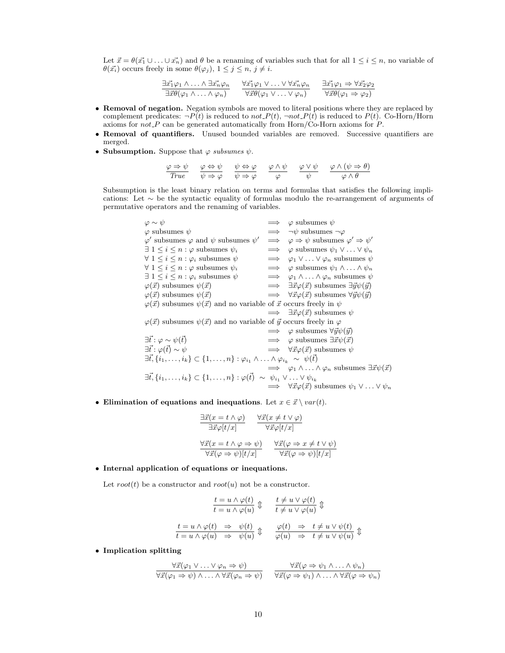Let  $\vec{x} = \theta(\vec{x_1} \cup \ldots \cup \vec{x_n})$  and  $\theta$  be a renaming of variables such that for all  $1 \leq i \leq n$ , no variable of  $\theta(\vec{x_i})$  occurs freely in some  $\theta(\varphi_i)$ ,  $1 \leq j \leq n, j \neq i$ .

$$
\frac{\exists \vec{x_1}\varphi_1 \land \dots \land \exists \vec{x_n}\varphi_n}{\exists \vec{x}\theta(\varphi_1 \land \dots \land \varphi_n)} \quad \frac{\forall \vec{x_1}\varphi_1 \lor \dots \lor \forall \vec{x_n}\varphi_n}{\forall \vec{x}\theta(\varphi_1 \lor \dots \lor \varphi_n)} \quad \frac{\exists \vec{x_1}\varphi_1 \Rightarrow \forall \vec{x_2}\varphi_2}{\forall \vec{x}\theta(\varphi_1 \Rightarrow \varphi_2)}
$$

- Removal of negation. Negation symbols are moved to literal positions where they are replaced by complement predicates:  $\neg P(t)$  is reduced to not  $P(t)$ ,  $\neg not P(t)$  is reduced to  $P(t)$ . Co-Horn/Horn axioms for *not*  $P$  can be generated automatically from Horn/Co-Horn axioms for  $P$ .
- Removal of quantifiers. Unused bounded variables are removed. Successive quantifiers are merged.
- Subsumption. Suppose that  $\varphi$  subsumes  $\psi$ .

$$
\frac{\varphi \Rightarrow \psi}{True} \quad \frac{\varphi \Leftrightarrow \psi}{\psi \Rightarrow \varphi} \quad \frac{\psi \Leftrightarrow \varphi}{\psi \Rightarrow \varphi} \quad \frac{\varphi \wedge \psi}{\varphi} \quad \frac{\varphi \vee \psi}{\psi} \quad \frac{\varphi \wedge (\psi \Rightarrow \theta)}{\varphi \wedge \theta}
$$

Subsumption is the least binary relation on terms and formulas that satisfies the following implications: Let ∼ be the syntactic equality of formulas modulo the re-arrangement of arguments of permutative operators and the renaming of variables.

| $\varphi \sim \psi$                                                                                                                    |            | $\implies$ $\varphi$ subsumes $\psi$                                                         |  |  |
|----------------------------------------------------------------------------------------------------------------------------------------|------------|----------------------------------------------------------------------------------------------|--|--|
| $\varphi$ subsumes $\psi$                                                                                                              | $\implies$ | $\neg \psi$ subsumes $\neg \varphi$                                                          |  |  |
| $\varphi'$ subsumes $\varphi$ and $\psi$ subsumes $\psi'$                                                                              |            | $\implies \varphi \Rightarrow \psi$ subsumes $\varphi' \Rightarrow \psi'$                    |  |  |
| $\exists 1 \leq i \leq n : \varphi$ subsumes $\psi_i$                                                                                  |            | $\implies$ $\varphi$ subsumes $\psi_1 \vee \ldots \vee \psi_n$                               |  |  |
| $\forall 1 \leq i \leq n : \varphi_i$ subsumes $\psi$                                                                                  |            | $\implies \varphi_1 \vee \ldots \vee \varphi_n$ subsumes $\psi$                              |  |  |
| $\forall 1 \leq i \leq n : \varphi$ subsumes $\psi_i$                                                                                  | $\implies$ | $\varphi$ subsumes $\psi_1 \wedge \ldots \wedge \psi_n$                                      |  |  |
| $\exists 1 \leq i \leq n : \varphi_i$ subsumes $\psi$                                                                                  |            | $\implies \varphi_1 \wedge \ldots \wedge \varphi_n$ subsumes $\psi$                          |  |  |
| $\varphi(\vec{x})$ subsumes $\psi(\vec{x})$                                                                                            |            | $\implies \exists \vec{x} \varphi(\vec{x})$ subsumes $\exists \vec{y} \psi(\vec{y})$         |  |  |
| $\varphi(\vec{x})$ subsumes $\psi(\vec{x})$                                                                                            |            | $\implies \forall \vec{x} \varphi(\vec{x})$ subsumes $\forall \vec{y} \psi(\vec{y})$         |  |  |
| $\varphi(\vec{x})$ subsumes $\psi(\vec{x})$ and no variable of $\vec{x}$ occurs freely in $\psi$                                       |            |                                                                                              |  |  |
|                                                                                                                                        |            | $\implies \exists \vec{x} \varphi(\vec{x})$ subsumes $\psi$                                  |  |  |
| $\varphi(\vec{x})$ subsumes $\psi(\vec{x})$ and no variable of $\vec{y}$ occurs freely in $\varphi$                                    |            |                                                                                              |  |  |
|                                                                                                                                        |            | $\implies \varphi$ subsumes $\forall \vec{y} \psi(\vec{y})$                                  |  |  |
| $\exists \vec{t} : \varphi \sim \psi(\vec{t})$                                                                                         |            | $\implies \varphi$ subsumes $\exists \vec{x} \psi(\vec{x})$                                  |  |  |
| $\exists \vec{t} : \varphi(\vec{t}) \sim \psi$                                                                                         |            | $\implies$ $\forall \vec{x} \varphi(\vec{x})$ subsumes $\psi$                                |  |  |
| $\exists \vec{t}, \{i_1, \ldots, i_k\} \subset \{1, \ldots, n\} : \varphi_{i_1} \wedge \ldots \wedge \varphi_{i_k} \sim \psi(\vec{t})$ |            |                                                                                              |  |  |
|                                                                                                                                        |            | $\implies \varphi_1 \wedge \ldots \wedge \varphi_n$ subsumes $\exists \vec{x} \psi(\vec{x})$ |  |  |
| $\exists \vec{t}, \{i_1, \ldots, i_k\} \subset \{1, \ldots, n\} : \varphi(\vec{t}) \sim \psi_{i_1} \vee \ldots \vee \psi_{i_k}$        |            |                                                                                              |  |  |
|                                                                                                                                        |            | $\implies \forall \vec{x} \varphi(\vec{x})$ subsumes $\psi_1 \vee \ldots \vee \psi_n$        |  |  |
|                                                                                                                                        |            |                                                                                              |  |  |

• Elimination of equations and inequations. Let  $x \in \vec{x} \setminus var(t)$ .

$$
\frac{\exists \vec{x}(x = t \land \varphi)}{\exists \vec{x} \varphi[t/x]} \quad \frac{\forall \vec{x}(x \neq t \lor \varphi)}{\forall \vec{x} \varphi[t/x]}
$$
\n
$$
\frac{\forall \vec{x}(x = t \land \varphi \Rightarrow \psi)}{\forall \vec{x}(\varphi \Rightarrow \psi)[t/x]} \quad \frac{\forall \vec{x}(\varphi \Rightarrow x \neq t \lor \psi)}{\forall \vec{x}(\varphi \Rightarrow \psi)[t/x]}
$$

#### • Internal application of equations or inequations.

Let  $root(t)$  be a constructor and  $root(u)$  not be a constructor.

$$
\frac{t = u \wedge \varphi(t)}{t = u \wedge \varphi(u)} \Downarrow \qquad \frac{t \neq u \vee \varphi(t)}{t \neq u \vee \varphi(u)} \Downarrow
$$
\n
$$
\frac{t = u \wedge \varphi(t) \implies \psi(t)}{t = u \wedge \varphi(u) \implies \psi(u)} \Downarrow \qquad \frac{\varphi(t) \implies t \neq u \vee \psi(t)}{\varphi(u) \implies t \neq u \vee \psi(u)} \Downarrow
$$

• Implication splitting

$$
\frac{\forall \vec{x}(\varphi_1 \vee \ldots \vee \varphi_n \Rightarrow \psi)}{\forall \vec{x}(\varphi_1 \Rightarrow \psi) \wedge \ldots \wedge \forall \vec{x}(\varphi_n \Rightarrow \psi)} \qquad \frac{\forall \vec{x}(\varphi \Rightarrow \psi_1 \wedge \ldots \wedge \psi_n)}{\forall \vec{x}(\varphi \Rightarrow \psi_1) \wedge \ldots \wedge \forall \vec{x}(\varphi \Rightarrow \psi_n)}
$$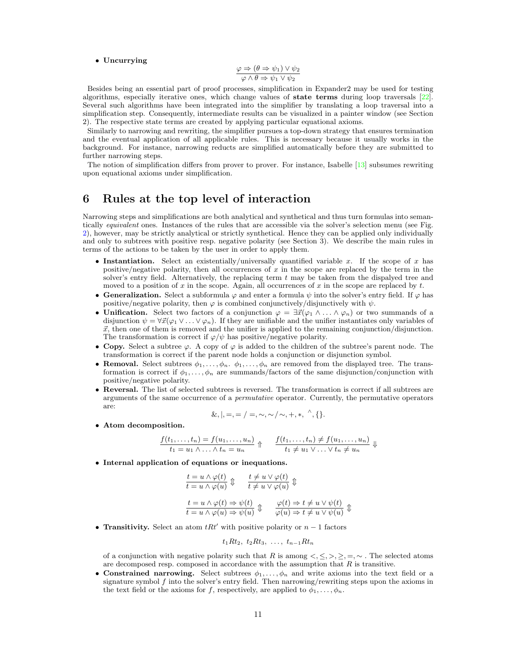#### • Uncurrying

$$
\frac{\varphi \Rightarrow (\theta \Rightarrow \psi_1) \lor \psi_2}{\varphi \land \theta \Rightarrow \psi_1 \lor \psi_2}
$$

Besides being an essential part of proof processes, simplification in Expander2 may be used for testing algorithms, especially iterative ones, which change values of state terms during loop traversals [\[22\]](#page-22-6). Several such algorithms have been integrated into the simplifier by translating a loop traversal into a simplification step. Consequently, intermediate results can be visualized in a painter window (see Section 2). The respective state terms are created by applying particular equational axioms.

Similarly to narrowing and rewriting, the simplifier pursues a top-down strategy that ensures termination and the eventual application of all applicable rules. This is necessary because it usually works in the background. For instance, narrowing reducts are simplified automatically before they are submitted to further narrowing steps.

The notion of simplification differs from prover to prover. For instance, Isabelle [\[13\]](#page-22-10) subsumes rewriting upon equational axioms under simplification.

### 6 Rules at the top level of interaction

Narrowing steps and simplifications are both analytical and synthetical and thus turn formulas into semantically equivalent ones. Instances of the rules that are accessible via the solver's selection menu (see Fig. [2\)](#page-2-0), however, may be strictly analytical or strictly synthetical. Hence they can be applied only individually and only to subtrees with positive resp. negative polarity (see Section 3). We describe the main rules in terms of the actions to be taken by the user in order to apply them.

- Instantiation. Select an existentially/universally quantified variable x. If the scope of x has positive/negative polarity, then all occurrences of x in the scope are replaced by the term in the solver's entry field. Alternatively, the replacing term  $t$  may be taken from the dispalyed tree and moved to a position of x in the scope. Again, all occurrences of x in the scope are replaced by  $t$ .
- Generalization. Select a subformula  $\varphi$  and enter a formula  $\psi$  into the solver's entry field. If  $\varphi$  has positive/negative polarity, then  $\varphi$  is combined conjunctively/disjunctively with  $\psi$ .
- Unification. Select two factors of a conjunction  $\varphi = \exists \vec{x}(\varphi_1 \wedge \ldots \wedge \varphi_n)$  or two summands of a disjunction  $\psi = \forall \vec{x}(\varphi_1 \vee \ldots \vee \varphi_n)$ . If they are unifiable and the unifier instantiates only variables of  $\vec{x}$ , then one of them is removed and the unifier is applied to the remaining conjunction/disjunction. The transformation is correct if  $\varphi/\psi$  has positive/negative polarity.
- Copy. Select a subtree  $\varphi$ . A copy of  $\varphi$  is added to the children of the subtree's parent node. The transformation is correct if the parent node holds a conjunction or disjunction symbol.
- Removal. Select subtrees  $\phi_1, \ldots, \phi_n, \phi_1, \ldots, \phi_n$  are removed from the displayed tree. The transformation is correct if  $\phi_1, \ldots, \phi_n$  are summands/factors of the same disjunction/conjunction with positive/negative polarity.
- Reversal. The list of selected subtrees is reversed. The transformation is correct if all subtrees are arguments of the same occurrence of a permutative operator. Currently, the permutative operators are:

$$
\&,\,|,\,=,\,=/\,=,\,\sim,\,\sim/\,\sim,\,+,*,\,``\,,\,\{\,\}.
$$

• Atom decomposition.

$$
\frac{f(t_1,\ldots,t_n)=f(u_1,\ldots,u_n)}{t_1=u_1\wedge\ldots\wedge t_n=u_n} \uparrow \qquad \frac{f(t_1,\ldots,t_n)\neq f(u_1,\ldots,u_n)}{t_1\neq u_1\vee\ldots\vee t_n\neq u_n} \downarrow
$$

• Internal application of equations or inequations.

$$
\frac{t = u \wedge \varphi(t)}{t = u \wedge \varphi(u)} \Downarrow \frac{t \neq u \vee \varphi(t)}{t \neq u \vee \varphi(u)} \Downarrow
$$
\n
$$
\frac{t = u \wedge \varphi(t) \Rightarrow \psi(t)}{t = u \wedge \varphi(u) \Rightarrow \psi(u)} \Downarrow \frac{\varphi(t) \Rightarrow t \neq u \vee \psi(t)}{\varphi(u) \Rightarrow t \neq u \vee \psi(u)}
$$

• Transitivity. Select an atom  $tRt'$  with positive polarity or  $n - 1$  factors

$$
t_1Rt_2, t_2Rt_3, \ldots, t_{n-1}Rt_n
$$

 $\mathbb{\hat{I}}$ 

of a conjunction with negative polarity such that R is among  $\langle, \leq, \geq, \geq, \geq, \sim$ . The selected atoms are decomposed resp. composed in accordance with the assumption that  $R$  is transitive.

• Constrained narrowing. Select subtrees  $\phi_1, \ldots, \phi_n$  and write axioms into the text field or a signature symbol  $f$  into the solver's entry field. Then narrowing/rewriting steps upon the axioms in the text field or the axioms for f, respectively, are applied to  $\phi_1, \ldots, \phi_n$ .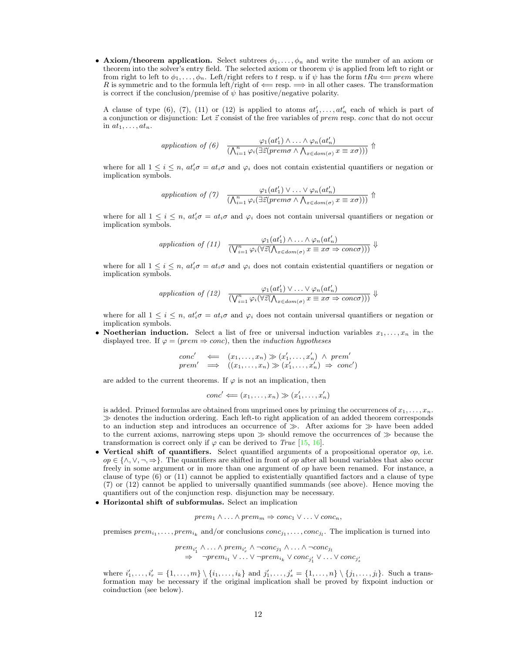• Axiom/theorem application. Select subtrees  $\phi_1, \ldots, \phi_n$  and write the number of an axiom or theorem into the solver's entry field. The selected axiom or theorem  $\psi$  is applied from left to right or from right to left to  $\phi_1, \ldots, \phi_n$ . Left/right refers to t resp. u if  $\psi$  has the form  $tRu \Leftarrow \text{prem}$  where R is symmetric and to the formula left/right of  $\Leftarrow$  resp.  $\Rightarrow$  in all other cases. The transformation is correct if the conclusion/premise of  $\psi$  has positive/negative polarity.

A clause of type (6), (7), (11) or (12) is applied to atoms  $at'_1, \ldots, at'_n$  each of which is part of a conjunction or disjunction: Let  $\vec{z}$  consist of the free variables of prem resp. conc that do not occur in  $at_1, \ldots, at_n$ .

$$
application of (6) \quad \frac{\varphi_1(at'_1) \wedge \ldots \wedge \varphi_n(at'_n)}{(\bigwedge_{i=1}^n \varphi_i(\exists \vec{z}(prem \sigma \wedge \bigwedge_{x \in dom(\sigma)} x \equiv x\sigma)))} \uparrow
$$

where for all  $1 \leq i \leq n$ ,  $at_i' \sigma = at_i \sigma$  and  $\varphi_i$  does not contain existential quantifiers or negation or implication symbols.

$$
application \ of \ (7) \quad \frac{\varphi_1(at'_1) \vee \ldots \vee \varphi_n(at'_n)}{(\bigwedge_{i=1}^n \varphi_i(\exists \vec{z}(prem\sigma \land \bigwedge_{x \in dom(\sigma)} x \equiv x\sigma)))} \ \Uparrow
$$

where for all  $1 \leq i \leq n$ ,  $at_i^{\prime}\sigma = at_i\sigma$  and  $\varphi_i$  does not contain universal quantifiers or negation or implication symbols.

$$
application of (11) \quad \frac{\varphi_1(at'_1) \wedge \ldots \wedge \varphi_n(at'_n)}{(\bigvee_{i=1}^n \varphi_i(\forall \vec{z}(\bigwedge_{x \in dom(\sigma)} x \equiv x\sigma \Rightarrow conco)))} \Downarrow
$$

where for all  $1 \leq i \leq n$ ,  $at_i' \sigma = at_i \sigma$  and  $\varphi_i$  does not contain existential quantifiers or negation or implication symbols.

$$
application \ of \ (12) \quad \frac{\varphi_1(at'_1) \vee \ldots \vee \varphi_n(at'_n)}{(\bigvee_{i=1}^n \varphi_i(\forall \vec{z}(\bigwedge_{x \in dom(\sigma)} x \equiv x\sigma \Rightarrow conc\sigma)))} \Downarrow
$$

where for all  $1 \leq i \leq n$ ,  $at'_i\sigma = at_i\sigma$  and  $\varphi_i$  does not contain universal quantifiers or negation or implication symbols.

**Noetherian induction.** Select a list of free or universal induction variables  $x_1, \ldots, x_n$  in the displayed tree. If  $\varphi = (prem \Rightarrow conc)$ , then the *induction hypotheses* 

$$
conc' \iff (x_1, \ldots, x_n) \gg (x'_1, \ldots, x'_n) \land prem'
$$
  
 
$$
prem' \implies ((x_1, \ldots, x_n) \gg (x'_1, \ldots, x'_n) \Rightarrow conc')
$$

are added to the current theorems. If  $\varphi$  is not an implication, then

$$
conc' \leftarrow (x_1, \ldots, x_n) \gg (x'_1, \ldots, x'_n)
$$

is added. Primed formulas are obtained from unprimed ones by priming the occurrences of  $x_1, \ldots, x_n$ .  $\gg$  denotes the induction ordering. Each left-to right application of an added theorem corresponds to an induction step and introduces an occurrence of  $\gg$ . After axioms for  $\gg$  have been added to the current axioms, narrowing steps upon  $\gg$  should remove the occurrences of  $\gg$  because the transformation is correct only if  $\varphi$  can be derived to *True* [\[15,](#page-22-11) [16\]](#page-22-9).

- Vertical shift of quantifiers. Select quantified arguments of a propositional operator  $op$ , i.e.  $op \in {\wedge, \vee, \neg, \Rightarrow}$ . The quantifiers are shifted in front of  $op$  after all bound variables that also occur freely in some argument or in more than one argument of op have been renamed. For instance, a clause of type (6) or (11) cannot be applied to existentially quantified factors and a clause of type (7) or (12) cannot be applied to universally quantified summands (see above). Hence moving the quantifiers out of the conjunction resp. disjunction may be necessary.
- Horizontal shift of subformulas. Select an implication

$$
prem_1 \wedge \ldots \wedge prem_m \Rightarrow conc_1 \vee \ldots \vee conc_n,
$$

premises  $prem_{i_1}, \ldots, prem_{i_k}$  and/or conclusions  $conc_{j_1}, \ldots, conc_{j_l}$ . The implication is turned into

$$
\begin{aligned}\n & \textit{prem}_{i'_1} \land \ldots \land \textit{prem}_{i'_r} \land \neg \textit{conc}_{j_1} \land \ldots \land \neg \textit{conc}_{j_l} \\
 &\Rightarrow \quad \neg \textit{prem}_{i_1} \lor \ldots \lor \neg \textit{prem}_{i_k} \lor \textit{conc}_{j'_1} \lor \ldots \lor \textit{conc}_{j'_s}\n \end{aligned}
$$

where  $i'_1, ..., i'_r = \{1, ..., m\} \setminus \{i_1, ..., i_k\}$  and  $j'_1, ..., j'_s = \{1, ..., n\} \setminus \{j_1, ..., j_l\}$ . Such a transformation may be necessary if the original implication shall be proved by fixpoint induction or coinduction (see below).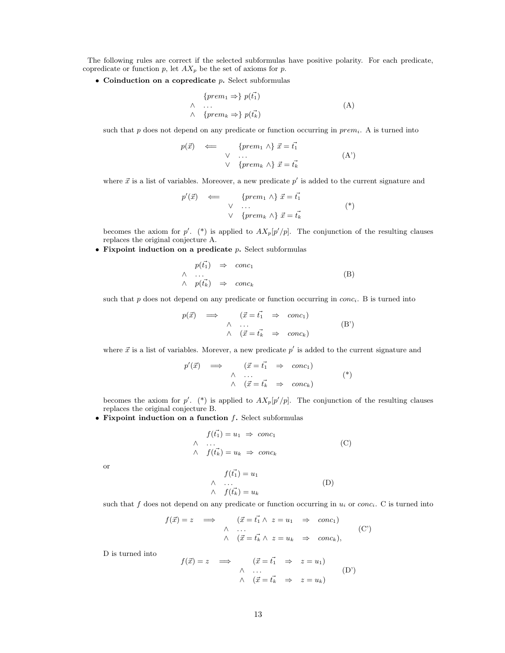The following rules are correct if the selected subformulas have positive polarity. For each predicate, copredicate or function p, let  $AX_p$  be the set of axioms for p.

• Coinduction on a copredicate  $p$ . Select subformulas

$$
\{prem_1 \Rightarrow\} p(\vec{t_1})
$$
  

$$
\land \dots
$$
  

$$
\land \{prem_k \Rightarrow\} p(\vec{t_k})
$$
  

$$
(A)
$$

such that p does not depend on any predicate or function occurring in  $prem_i$ . A is turned into

$$
p(\vec{x}) \iff \{prem_1 \land \} \vec{x} = \vec{t_1} \\ \lor \dots \\ \lor \{prem_k \land \} \vec{x} = \vec{t_k} \tag{A'}
$$

where  $\vec{x}$  is a list of variables. Moreover, a new predicate  $p'$  is added to the current signature and

$$
p'(\vec{x}) \iff \{prem_1 \land \} \vec{x} = \vec{t_1}
$$
  
 
$$
\lor \dots
$$
  
 
$$
\lor \{prem_k \land \} \vec{x} = \vec{t_k}
$$
  
(\*)

becomes the axiom for p'. (\*) is applied to  $AX_p[p'/p]$ . The conjunction of the resulting clauses replaces the original conjecture A.

• Fixpoint induction on a predicate  $p$ . Select subformulas

$$
p(\vec{t_1}) \Rightarrow conc_1
$$
  
\n
$$
\wedge \quad \dots
$$
  
\n
$$
\wedge \quad p(\vec{t_k}) \Rightarrow conc_k
$$
  
\n(B)

such that p does not depend on any predicate or function occurring in  $conc_i$ . B is turned into

$$
p(\vec{x}) \implies (\vec{x} = \vec{t_1} \Rightarrow conc_1) \land \dots \land (\vec{x} = \vec{t_k} \Rightarrow conc_k)
$$
 (B')

where  $\vec{x}$  is a list of variables. Morever, a new predicate  $p'$  is added to the current signature and

$$
p'(\vec{x}) \implies (\vec{x} = \vec{t_1} \Rightarrow conc_1) \land \dots \land (\vec{x} = \vec{t_k} \Rightarrow conc_k)
$$
 (\*)

becomes the axiom for p'. (\*) is applied to  $AX_p[p'/p]$ . The conjunction of the resulting clauses replaces the original conjecture B.

• Fixpoint induction on a function  $f$ . Select subformulas

$$
f(\vec{t_1}) = u_1 \implies conc_1
$$
  
\n
$$
\wedge \quad \dots
$$
  
\n
$$
\wedge \quad f(\vec{t_k}) = u_k \implies conc_k
$$
  
\n
$$
f(\vec{t_1}) = u_k \implies conc_k
$$
  
\n
$$
(C)
$$

or

$$
f(t_1) = u_1
$$
  
\n
$$
\wedge \quad \dots
$$
  
\n
$$
\wedge \quad f(t_k) = u_k
$$
  
\n(D)

such that f does not depend on any predicate or function occurring in  $u_i$  or conci. C is turned into

$$
f(\vec{x}) = z \implies (\vec{x} = \vec{t_1} \land z = u_1 \Rightarrow conc_1) \land \dots \land (\vec{x} = \vec{t_k} \land z = u_k \Rightarrow conc_k),
$$
 (C')

D is turned into

$$
f(\vec{x}) = z \implies (\vec{x} = \vec{t_1} \Rightarrow z = u_1) \n\wedge \dots \n\wedge (\vec{x} = \vec{t_k} \Rightarrow z = u_k) \tag{D'}
$$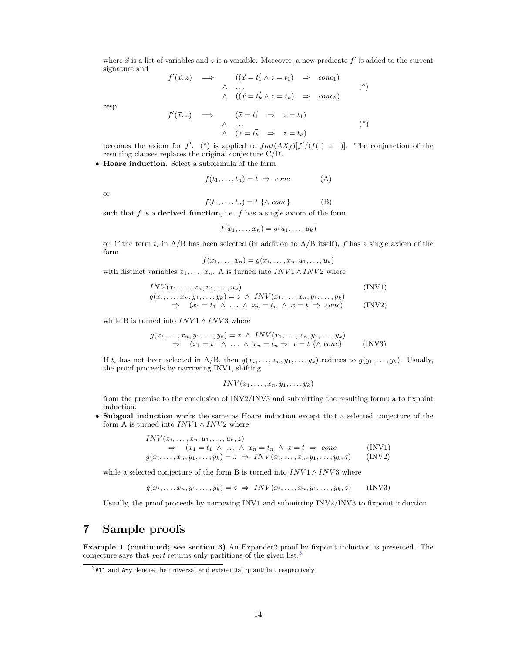where  $\vec{x}$  is a list of variables and z is a variable. Moreover, a new predicate  $f'$  is added to the current signature and

$$
f'(\vec{x}, z) \implies ((\vec{x} = t_1 \land z = t_1) \Rightarrow conc_1)
$$
  

$$
\land \dots
$$
  

$$
\land ((\vec{x} = t_k \land z = t_k) \Rightarrow conc_k)
$$
  

$$
f'(\vec{x}, z) \implies (\vec{x} = t_1 \Rightarrow z = t_1)
$$
  

$$
\land \dots
$$
  

$$
(*)
$$
  

$$
\land \dots
$$
  

$$
(*)
$$

resp.

becomes the axiom for 
$$
f'
$$
. (\*) is applied to  $flat(AX_f)[f'/(f(.) \equiv .)]$ . The conjunction of the resulting clauses replaces the original conjecture C/D.

 $\wedge$   $(\vec{x} = \vec{t_k} \Rightarrow z = t_k)$ 

• Hoare induction. Select a subformula of the form

$$
f(t_1, \ldots, t_n) = t \Rightarrow \text{conc} \tag{A}
$$

or

$$
f(t_1, \ldots, t_n) = t \{ \land \text{conc} \}
$$
 (B)

such that f is a **derived function**, i.e. f has a single axiom of the form

$$
f(x_1,\ldots,x_n)=g(u_1,\ldots,u_k)
$$

or, if the term  $t_i$  in A/B has been selected (in addition to A/B itself), f has a single axiom of the form

$$
f(x_1,\ldots,x_n)=g(x_i,\ldots,x_n,u_1,\ldots,u_k)
$$

with distinct variables  $x_1, \ldots, x_n$ . A is turned into  $INV1 \wedge INV2$  where

$$
INV(x_1, \ldots, x_n, u_1, \ldots, u_k)
$$
  
\n
$$
g(x_i, \ldots, x_n, y_1, \ldots, y_k) = z \land INV(x_1, \ldots, x_n, y_1, \ldots, y_k)
$$
  
\n
$$
\Rightarrow (x_1 = t_1 \land \ldots \land x_n = t_n \land x = t \Rightarrow conc)
$$
 (INV2)

while B is turned into  $INV1 \wedge INV3$  where

$$
g(x_i, \ldots, x_n, y_1, \ldots, y_k) = z \land INV(x_1, \ldots, x_n, y_1, \ldots, y_k)
$$
  
\n
$$
\Rightarrow (x_1 = t_1 \land \ldots \land x_n = t_n \Rightarrow x = t \{\land conc\}
$$
 (INV3)

If  $t_i$  has not been selected in A/B, then  $g(x_i, \ldots, x_n, y_1, \ldots, y_k)$  reduces to  $g(y_1, \ldots, y_k)$ . Usually, the proof proceeds by narrowing INV1, shifting

$$
INV(x_1, \ldots, x_n, y_1, \ldots, y_k)
$$

from the premise to the conclusion of INV2/INV3 and submitting the resulting formula to fixpoint induction.

• Subgoal induction works the same as Hoare induction except that a selected conjecture of the form A is turned into  $INV1 \wedge INV2$  where

$$
INV(x_i, ..., x_n, u_1, ..., u_k, z)
$$
  
\n
$$
\Rightarrow (x_1 = t_1 \land ... \land x_n = t_n \land x = t \Rightarrow conc
$$
 (INV1)  
\n
$$
g(x_i, ..., x_n, y_1, ..., y_k) = z \Rightarrow INV(x_i, ..., x_n, y_1, ..., y_k, z)
$$
 (INV2)

while a selected conjecture of the form B is turned into  $INV1 \wedge INV3$  where

$$
g(x_i, \ldots, x_n, y_1, \ldots, y_k) = z \implies INV(x_i, \ldots, x_n, y_1, \ldots, y_k, z) \quad (\text{INV3})
$$

Usually, the proof proceeds by narrowing INV1 and submitting INV2/INV3 to fixpoint induction.

# 7 Sample proofs

Example 1 (continued; see section 3) An Expander2 proof by fixpoint induction is presented. The conjecture says that part returns only partitions of the given list.<sup>[3](#page-13-0)</sup>

<span id="page-13-0"></span> $3$ All and Any denote the universal and existential quantifier, respectively.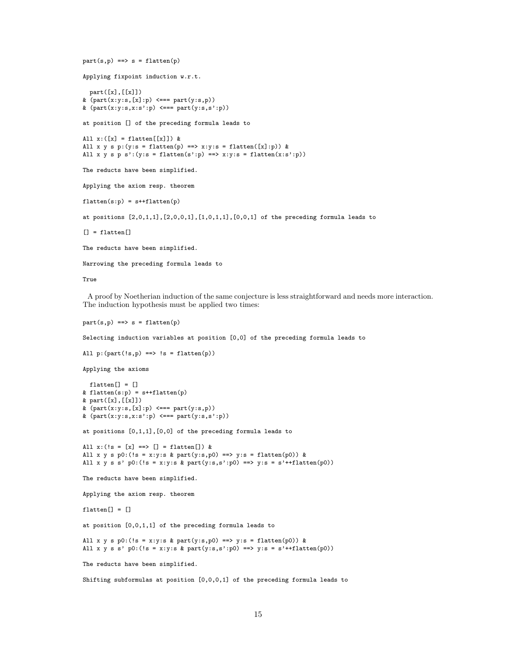```
part(s,p) \implies s = flatten(p)Applying fixpoint induction w.r.t.
  part([x],[[x]])
& (part(x:y:s,[x]:p) \leq == part(y:s,p))& (\text{part}(x:y:s,x:s':p) \iff \text{part}(y:s,s':p))at position [] of the preceding formula leads to
All x:([x] = flatten[[x]]) &
All x \ y \ s \ p:(y:s = flatten(p) \ ==> x:y:s = flatten([x]:p)) \ &All x \ y \ s \ p \ s' : (y : s = flatten(s': p) \ == \ x : y : s = flatten(x : s': p))
```
The reducts have been simplified.

Applying the axiom resp. theorem

 $flatten(s:p) = s++flatten(p)$ 

at positions [2,0,1,1],[2,0,0,1],[1,0,1,1],[0,0,1] of the preceding formula leads to

 $[] =$  flatten $[]$ 

The reducts have been simplified.

Narrowing the preceding formula leads to

True

A proof by Noetherian induction of the same conjecture is less straightforward and needs more interaction. The induction hypothesis must be applied two times:

 $part(s,p) \implies s = flatten(p)$ 

Selecting induction variables at position [0,0] of the preceding formula leads to

All  $p:(part(!s,p) \implies !s = flatten(p))$ 

Applying the axioms

```
flatten[] = []
& flatten(s:p) = s++flatten(p)
& part([x],[[x]])
& (part(x:y:s,[x]:p) \leq == part(y:s,p))& (part(x:y:s,x:s':p) \leq == part(y:s,s':p))
```
at positions [0,1,1],[0,0] of the preceding formula leads to

```
All x: (!s = [x] == > [] = flatten[]) &
All x y s p0:(!s = x:y:s & part(y:s,p0) ==> y:s = flatten(p0)) &
All x y s s' p0:(!s = x:y:s % part(y:s,s':p0) ==> y:s = s'++flatten(p0))
```
The reducts have been simplified.

Applying the axiom resp. theorem

 $flatten[] = []$ 

at position [0,0,1,1] of the preceding formula leads to

```
All x y s p0:(!s = x:y:s & part(y:s,p0) ==> y:s = flatten(p0)) &
All x y s s' p0:(!s = x:y:s & part(y:s,s':p0) ==> y:s = s'++flatten(p0))
```
The reducts have been simplified.

Shifting subformulas at position [0,0,0,1] of the preceding formula leads to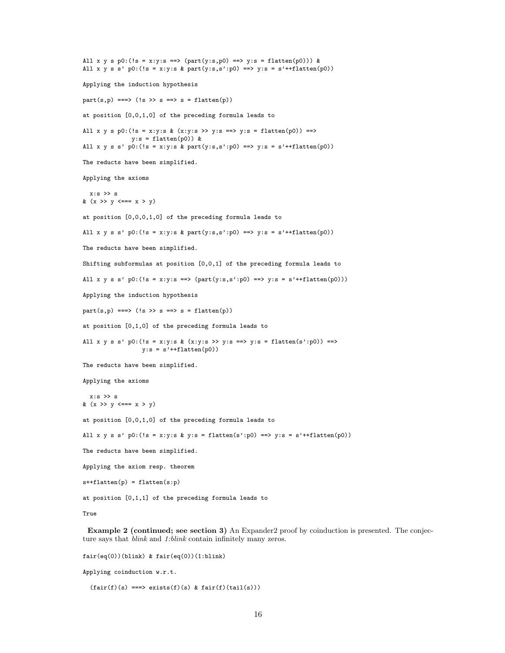```
All x y s p0:(!s = x:y:s ==> (part(y:s,p0) ==> y:s = flatten(p0))) &
All x y s s' p0:(!s = x:y:s & part(y:s,s':p0) ==> y:s = s'++flatten(p0))
Applying the induction hypothesis
part(s,p) ===> (!s \rightarrow s ==> s = flatten(p))at position [0,0,1,0] of the preceding formula leads to
All x \ y \ s \ p0:(!s = x:y:s \ & (x:y:s \ & & y:s ==& y:s = flatten(p0)) ==>y:s = flatten(p0)) &
All x \ y \ s \ s' \ p0: (!s = x:y:s \ k \ part(y:s,s':p0) \ ==> y:s = s'++flatten(p0))The reducts have been simplified.
Applying the axioms
 x:s \rightarrow s& (x \gg y \ll == x \gg y)at position [0,0,0,1,0] of the preceding formula leads to
All x \ y \ s \ s' \ p0: (!s = x:y:s \ k \ part(y:s,s':p0) \ == y:s = s'+flatent(p0))The reducts have been simplified.
Shifting subformulas at position [0,0,1] of the preceding formula leads to
All x \ y \ s \ s' \ p0: (!s = x: y: s ==) \ (part(y: s, s': p0) == y: s = s'++flatten(p0)))Applying the induction hypothesis
part(s,p) ===> (!s >> s ==> s = flatten(p))
at position [0,1,0] of the preceding formula leads to
All x \ y \ s \ s' \ p0: (!s = x: y: s \ & (x: y: s \ > y: s == y: s = \text{flatten}(s': p0)) ==)
                  y:s = s'+flatten(p0))
The reducts have been simplified.
Applying the axioms
 x: s \rightarrow s& (x \gg y \iff x = 0 \times y)at position [0,0,1,0] of the preceding formula leads to
All x \ y \ s \ s' \ p0:(!s = x:y:s \ & y:s = flatten(s':p0) == y:s = s'+flatent(n(p0))The reducts have been simplified.
Applying the axiom resp. theorem
s++flatten(p) = flatten(s:p)
at position [0,1,1] of the preceding formula leads to
True
```
Example 2 (continued; see section 3) An Expander2 proof by coinduction is presented. The conjecture says that *blink* and *1:blink* contain infinitely many zeros.

fair(eq(0))(blink) & fair(eq(0))(1:blink)

Applying coinduction w.r.t.

 $(fair(f)(s) ==> exists(f)(s) & fair(f)(tail(s)))$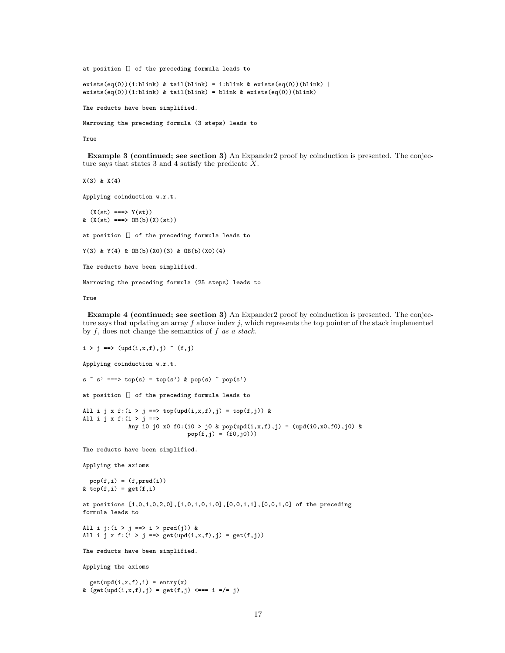at position [] of the preceding formula leads to

exists(eq(0))(1:blink) & tail(blink) = 1:blink & exists(eq(0))(blink) | exists(eq(0))(1:blink) & tail(blink) = blink & exists(eq(0))(blink)

The reducts have been simplified.

Narrowing the preceding formula (3 steps) leads to

True

Example 3 (continued; see section 3) An Expander2 proof by coinduction is presented. The conjecture says that states  $3$  and  $4$  satisfy the predicate  $X$ .

 $X(3)$  &  $X(4)$ 

Applying coinduction w.r.t.

 $(Y(st) == y(st))$  $& (X(st) ==> OB(b)(X(st))$ 

at position [] of the preceding formula leads to

```
Y(3) & Y(4) & OB(b)(X0)(3) & OB(b)(X0)(4)
```
The reducts have been simplified.

Narrowing the preceding formula (25 steps) leads to

True

Example 4 (continued; see section 3) An Expander2 proof by coinduction is presented. The conjecture says that updating an array  $f$  above index  $j$ , which represents the top pointer of the stack implemented by  $f$ , does not change the semantics of  $f$  as a stack.

 $i > j == > (upd(i, x, f), j)$  "  $(f, j)$ Applying coinduction w.r.t.  $s$   $s$   $s$   $==$   $top(s) = top(s')$  &  $pop(s)$   $top(p(s'))$ at position [] of the preceding formula leads to All i j x  $f:(i > j == > top(upd(i, x, f), j) = top(f, j))$  & All i  $j \times f: (i \gt j ==$ Any i0 j0 x0 f0:(i0 > j0 & pop(upd(i,x,f),j) = (upd(i0,x0,f0),j0) &  $pop(f, j) = (f0, j0))$ The reducts have been simplified. Applying the axioms  $pop(f, i) = (f, pred(i))$ &  $top(f, i) = get(f, i)$ at positions [1,0,1,0,2,0],[1,0,1,0,1,0],[0,0,1,1],[0,0,1,0] of the preceding formula leads to All i j: $(i > j == > i > pred(j))$  & All i j x  $f:(i > j == > get(upd(i, x, f), j) = get(f, j))$ 

The reducts have been simplified.

Applying the axioms

 $get(upd(i, x, f), i) = entry(x)$ &  $(\text{get}(\text{upd}(i, x, f), j) = \text{get}(f, j) \iff j = j$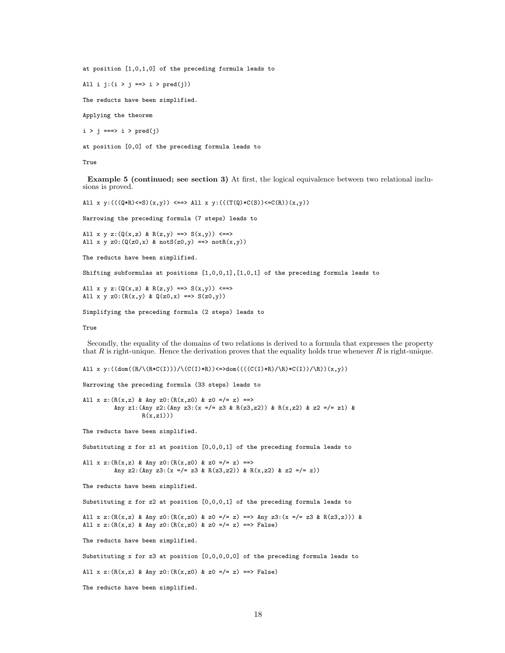at position [1,0,1,0] of the preceding formula leads to

All i j: $(i > j == > i > pred(j))$ 

The reducts have been simplified.

Applying the theorem

 $i > j == > i > pred(j)$ 

at position [0,0] of the preceding formula leads to

True

Example 5 (continued; see section 3) At first, the logical equivalence between two relational inclusions is proved.

All  $x \, y: (((\mathbb{Q} * \mathbb{R}) < = S)(x, y)) \iff \mathbb{A} \mathbb{1} x \, y: (((\mathbb{T}(\mathbb{Q}) * \mathbb{C}(S)) < = C(\mathbb{R})) (x, y))$ 

Narrowing the preceding formula (7 steps) leads to

All  $x \ y \ z: (Q(x, z) \ & R(z, y) \ ==> S(x, y)) \ \leq\!=\!\cdot\;$ All x y z0: $(Q(z0, x) \& \text{notS}(z0, y) ==) \text{notR}(x, y))$ 

The reducts have been simplified.

Shifting subformulas at positions [1,0,0,1],[1,0,1] of the preceding formula leads to

All  $x \ y \ z: (Q(x, z) \ & R(z, y) \ ==> S(x, y)) \ \leq\equiv\;$ All x y z0: $(R(x,y)$  & Q(z0,x) ==> S(z0,y))

Simplifying the preceding formula (2 steps) leads to

True

Secondly, the equality of the domains of two relations is derived to a formula that expresses the property that  $R$  is right-unique. Hence the derivation proves that the equality holds true whenever  $R$  is right-unique.

All x  $y:((dom((R/\langle R*(I))\rangle)/\langle C(I)*R\rangle)\langle=>\dom(((C(I)*R/\langle R)*C(I))/\langle R\rangle)(x,y))$ 

Narrowing the preceding formula (33 steps) leads to

All  $x z: (R(x, z) \& Any z0: (R(x, z0) \& z0 = /= z) ==$ Any z1:(Any z2:(Any z3:(x =/= z3 & R(z3,z2)) & R(x,z2) & z2 =/= z1) &  $R(x,z1))$ 

The reducts have been simplified.

Substituting z for z1 at position [0,0,0,1] of the preceding formula leads to

All  $x z: (R(x, z) \& Any z0: (R(x, z0) \& z0 = /= z) ==$ Any z2:  $(\text{Any } z3: (x = / = z3 \& R(z3, z2)) \& R(x, z2) \& Z2 = / = z)$ 

The reducts have been simplified.

Substituting z for z2 at position [0,0,0,1] of the preceding formula leads to

All  $x z:(R(x,z) \& Any z0:(R(x,z0) \& z0 =& -z) =& -\lambda Any z3:(x =& -z3 \& R(z3,z))) \&$ All x z: $(R(x, z)$  & Any z0: $(R(x, z0)$  & z0 =/= z) ==> False)

The reducts have been simplified.

Substituting x for z3 at position [0,0,0,0,0] of the preceding formula leads to

All  $x z: (R(x, z) \& Any z0: (R(x, z0) \& z0 = /= z) ==& False)$ 

The reducts have been simplified.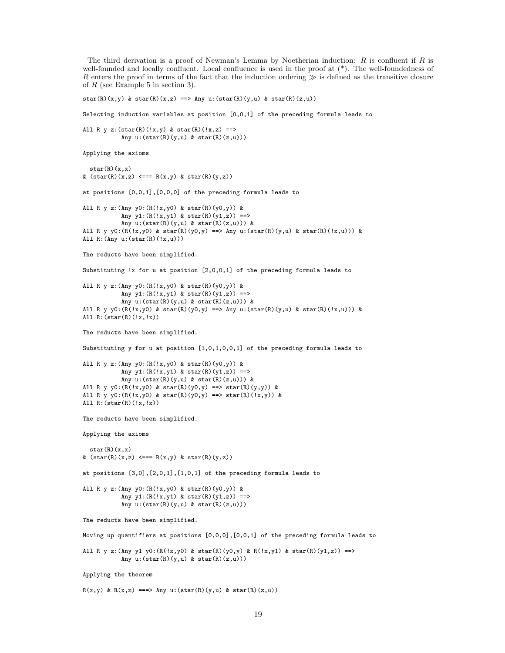The third derivation is a proof of Newman's Lemma by Noetherian induction:  $R$  is confluent if  $R$  is well-founded and locally confluent. Local confluence is used in the proof at (\*). The well-foundedness of R enters the proof in terms of the fact that the induction ordering  $\gg$  is defined as the transitive closure of  $R$  (see Example 5 in section 3).

 $star(R)(x,y)$  &  $star(R)(x,z)$  ==> Any u:(star(R)(y,u) & star(R)(z,u))

Selecting induction variables at position [0,0,1] of the preceding formula leads to

```
All R y z: star(R) (!x, y) & star(R)(!x, z) ==>
           Any u: (star(R)(y,u) \& stat(R)(z,u)))
```
Applying the axioms

```
star(R)(x,x)& (\text{star}(R)(x, z) \leq x == R(x, y) \& \text{star}(R)(y, z))at positions [0,0,1],[0,0,0] of the preceding formula leads to
All R y z: (Any y0: (R(!x,y0) & star(R)(y0,y)) &
           Any y1: (R(!x,y1) \& \text{star}(R)(y1,z)) ==>
           Any u: (star(R)(y, u) \& stat(R)(z, u))) &
All R y y0:(R(!x,y0) & star(R)(y0,y) = > Any u:(star(R)(y,u) & star(R)(!x,u)) &
All R:(Any u:(star(R)(!x,u)))
The reducts have been simplified.
Substituting !x for u at position [2,0,0,1] of the preceding formula leads to
All R y z:(Any y0:(R(!x,y0) & star(R)(y0,y)) &
           Any y1: (R(!x,y1) \& \text{star}(R)(y1,z)) ==Any u: (star(R)(y, u) \& stat(R)(z, u))) \&All R y y0:(R(!x,y0) & star(R)(y0,y) = > Any u:star(R)(y,u) & star(R)(!x,u)) &
All R:(star(R)(!x,!x))
The reducts have been simplified.
Substituting y for u at position [1,0,1,0,0,1] of the preceding formula leads to
All R y z: (Any y0: (R(!x,y0) & star(R)(y0,y)) &
           Any y1: (R(!x,y1) \& \text{star}(R)(y1,z)) ==Any u: (star(R)(y, u) & star(R)(z, u))) &
All R y y0:(R(!x,y0) & star(R)(y0,y) ==> star(R)(y,y)) &
All R y y0:(R(!x,y0) & star(R)(y0,y) ==> star(R)(!x,y)) &
All R: (star(R)(!x, !x))The reducts have been simplified.
Applying the axioms
  star(R)(x,x)& (\text{star}(R)(x, z) \leq x == R(x, y) \& \text{star}(R)(y, z))at positions [3,0],[2,0,1],[1,0,1] of the preceding formula leads to
All R y z:(Any y0:(R(!x,y0) & star(R)(y0,y)) &
           Any y1:(R(!x,y1) & star(R)(y1,z)) ==Any u: (star(R)(y, u) \& stat(R)(z, u)))The reducts have been simplified.
Moving up quantifiers at positions [0,0,0],[0,0,1] of the preceding formula leads to
All R y z:(Any y1 y0:(R(!x,y0) & star(R)(y0,y) & R(!x,y1) & star(R)(y1,z)) ==>
           Any u: (star(R)(y, u) \& stat(R)(z, u)))Applying the theorem
R(x,y) & R(x,z) ===> Any u:(star(R)(y,u) & star(R)(z,u))
```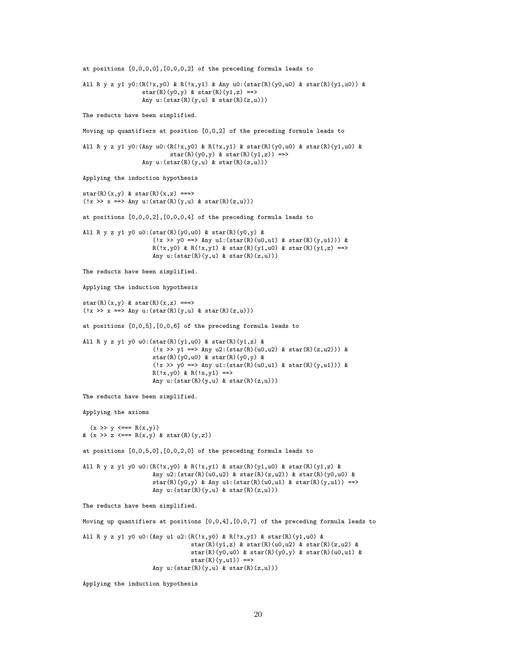```
at positions [0,0,0,0],[0,0,0,2] of the preceding formula leads to
All R y z y1 y0:(R(!x,y0) & R(!x,y1) & Any u0:(star(R)(y0,u0) & star(R)(y1,u0)) &
                 star(R)(y0,y) & star(R)(y1,z) ==>
                 Any u: (star(R)(y, u) \& stat(R)(z, u)))The reducts have been simplified.
Moving up quantifiers at position [0,0,2] of the preceding formula leads to
All R y z y1 y0:(Any u0:(R(!x,y0) & R(!x,y1) & star(R)(y0,u0) & star(R)(y1,u0) &
                          star(R)(y0,y) & star(R)(y1,z)) ==Any u: (star(R)(y, u) \& stat(R)(z, u)))Applying the induction hypothesis
star(R)(x,y) & star(R)(x,z) ===>
(!x \gg x ==> Any u:(star(R)(y,u) &star(R)(z,u)))at positions [0,0,0,2],[0,0,0,4] of the preceding formula leads to
All R y z y1 y0 u0: (\text{star}(R)(y0, u0)) & star(R)(y0, y) &
                     (!x \gg y0 == > Any u1:(star(R)(u0,u1) & start(R)(y,u1))) &R(!x,y0) & R(!x,y1) & star(R)(y1,u0) & star(R)(y1,z) ==>
                    Any u: (star(R)(y, u) \& stat(R)(z, u)))The reducts have been simplified.
Applying the induction hypothesis
star(R)(x,y) & star(R)(x,z) ===>
(!x \gg x ==> Any u:(star(R)(y,u) &star(R)(z,u)))at positions [0,0,5],[0,0,6] of the preceding formula leads to
All R y z y1 y0 u0: (\text{star}(R)(y1, u0)) & star(R)(y1, z) &
                     (!x \gg y1 ==> Any u2:(star(R)(u0,u2) &star (R)(z,u2))) >star(R)(v0, u0) & star(R)(v0, v) &
                     (!x \gg y0 ==> Any u1:(star(R)(u0,u1) &star (R)(y,u1))) >R(!x,y0) & R(!x,y1) ==>
                    Any u: (star(R)(y, u) \& stat(R)(z, u)))The reducts have been simplified.
Applying the axioms
  (x \gg y \iff x == R(x,y))& (x \gg z \iff R(x,y) \& \text{star}(R)(y,z))at positions [0,0,5,0],[0,0,2,0] of the preceding formula leads to
All R y z y1 y0 u0:(R(!x,y0) & R(!x,y1) & star(R)(y1,u0) & star(R)(y1,z) &
                    Any u2: (star(R)(u0, u2) \& stat(R)(z, u2)) \& stat(R)(y0, u0) \&star(R)(y0,y) & Any u1:(star(R)(u0,u1) & star(R)(y,u1)) ==>
                    Any u: (star(R)(y, u) \& star(R)(z, u)))The reducts have been simplified.
Moving up quantifiers at positions [0,0,4], [0,0,7] of the preceding formula leads to
All R y z y1 y0 u0:(Any u1 u2:(R(!x,y0) & R(!x,y1) & star(R)(y1,u0) &
                                star(R)(y1,z) & star(R)(u0,u2) & star(R)(z,u2) &
                                star(R)(y0,u0) & star(R)(y0,y) & star(R)(u0,u1) &
                                star(R)(y,u1)) ==Any u: (star(R)(y,u) \& stat(R)(z,u)))
```
Applying the induction hypothesis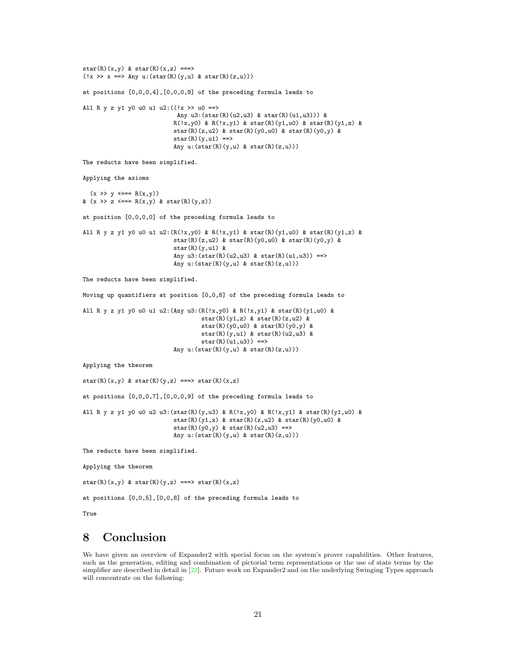```
star(R)(x,y) & star(R)(x,z) ===>
(!x \gg x ==> Any u:(star(R)(y,u) &star(R)(z,u)))at positions [0,0,0,4],[0,0,0,8] of the preceding formula leads to
All R y z y1 y0 u0 u1 u2: ((!x \gg u0 ==)Any u3: (star(R)(u2, u3) \& star(R)(u1, u3))) \&R(!x,y0) & R(!x,y1) & star(R)(y1,u0) & star(R)(y1,z) &
                           star(R)(z,u2) & star(R)(y0,u0) & star(R)(y0,y) &
                           star(R)(y,u1) ==>
                          Any u: (star(R)(y, u) \& stat(R)(z, u)))The reducts have been simplified.
Applying the axioms
  (x \gg y \iff f(x,y))& (x \gg z \iff R(x,y) \& \text{star}(R)(y,z))at position [0,0,0,0] of the preceding formula leads to
All R y z y1 y0 u0 u1 u2: (R(!x,y0) \& R(!x,y1) \& star(R)(y1,u0) \& star(R)(y1,z) \&star(R)(z,u2) & star(R)(y0,u0) & star(R)(y0,y) &
                           star(R)(y, u1) &
                          Any u3:(star(R)(u2,u3) & star(R)(u1,u3)) ==>
                          Any u: (star(R)(y, u) \& stat(R)(z, u)))The reducts have been simplified.
Moving up quantifiers at position [0,0,8] of the preceding formula leads to
All R y z y1 y0 u0 u1 u2:(Any u3:(R(!x,y0) & R(!x,y1) & star(R)(y1,u0) &
                                   star(R)(y1, z) & star(R)(z, u2) &
                                   star(R)(y0,u0) & star(R)(y0,y) &
                                   star(R)(y, u1) & star(R)(u2, u3) &
                                   star(R)(u1,u3)) ==Any u: (star(R)(y, u) \& stat(R)(z, u)))Applying the theorem
star(R)(x,y) & star(R)(y,z) ===> star(R)(x,z)at positions [0,0,0,7],[0,0,0,9] of the preceding formula leads to
All R y z y1 y0 u0 u2 u3:(star(R)(y,u3) & R(!x,y0) & R(!x,y1) & star(R)(y1,u0) &
                           star(R)(y1,z) & star(R)(z,u2) & star(R)(y0,u0) &
                          star(R)(y0,y) & star(R)(u2,u3) ==>
                          Any u: (star(R)(y, u) \& stat(R)(z, u)))The reducts have been simplified.
Applying the theorem
star(R)(x,y) & star(R)(y,z) ===> star(R)(x,z)
```
at positions [0,0,5],[0,0,8] of the preceding formula leads to

True

# 8 Conclusion

We have given an overview of Expander2 with special focus on the system's prover capabilities. Other features, such as the generation, editing and combination of pictorial term representations or the use of state terms by the simplifier are described in detail in [\[22\]](#page-22-6). Future work on Expander2 and on the underlying Swinging Types approach will concentrate on the following: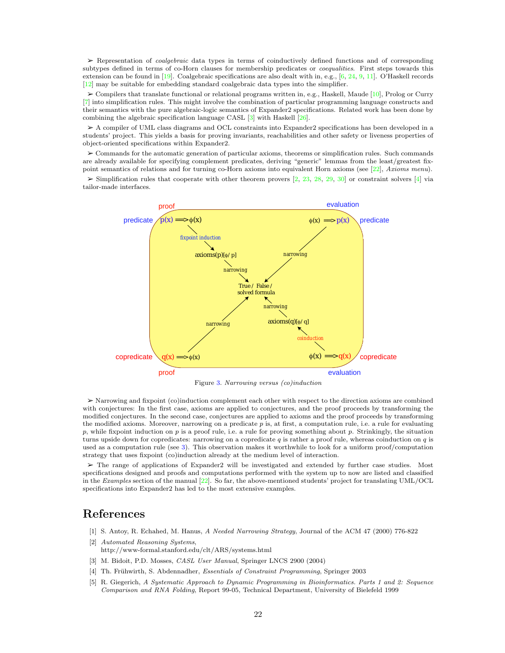➢ Representation of coalgebraic data types in terms of coinductively defined functions and of corresponding subtypes defined in terms of co-Horn clauses for membership predicates or *coequalities*. First steps towards this extension can be found in [\[19\]](#page-22-2). Coalgebraic specifications are also dealt with in, e.g., [\[6,](#page-22-12) [24,](#page-22-13) [9,](#page-22-14) [11\]](#page-22-15). O'Haskell records [\[12\]](#page-22-3) may be suitable for embedding standard coalgebraic data types into the simplifier.

 $\geq$  Compilers that translate functional or relational programs written in, e.g., Haskell, Maude [\[10\]](#page-22-7), Prolog or Curry [\[7\]](#page-22-16) into simplification rules. This might involve the combination of particular programming language constructs and their semantics with the pure algebraic-logic semantics of Expander2 specifications. Related work has been done by combining the algebraic specification language CASL [\[3\]](#page-21-2) with Haskell [\[26\]](#page-22-17).

➢ A compiler of UML class diagrams and OCL constraints into Expander2 specifications has been developed in a students' project. This yields a basis for proving invariants, reachabilities and other safety or liveness properties of object-oriented specifications within Expander2.

➢ Commands for the automatic generation of particular axioms, theorems or simplification rules. Such commands are already available for specifying complement predicates, deriving "generic" lemmas from the least/greatest fixpoint semantics of relations and for turning co-Horn axioms into equivalent Horn axioms (see [\[22\]](#page-22-6), Axioms menu).

<span id="page-21-5"></span> $\geq$  Simplification rules that cooperate with other theorem provers [\[2,](#page-21-3) [23,](#page-22-18) [28,](#page-22-19) [29,](#page-22-20) [30\]](#page-22-21) or constraint solvers [\[4\]](#page-21-4) via tailor-made interfaces.



Figure [3.](#page-21-5) Narrowing versus (co)induction

 $\geq$  Narrowing and fixpoint (co)induction complement each other with respect to the direction axioms are combined with conjectures: In the first case, axioms are applied to conjectures, and the proof proceeds by transforming the modified conjectures. In the second case, conjectures are applied to axioms and the proof proceeds by transforming the modified axioms. Moreover, narrowing on a predicate  $p$  is, at first, a computation rule, i.e. a rule for evaluating  $p$ , while fixpoint induction on  $p$  is a proof rule, i.e. a rule for proving something about  $p$ . Strinkingly, the situation turns upside down for copredicates: narrowing on a copredicate  $q$  is rather a proof rule, whereas coinduction on  $q$  is used as a computation rule (see [3\)](#page-21-5). This observation makes it worthwhile to look for a uniform proof/computation strategy that uses fixpoint (co)induction already at the medium level of interaction.

➢ The range of applications of Expander2 will be investigated and extended by further case studies. Most specifications designed and proofs and computations performed with the system up to now are listed and classified in the Examples section of the manual  $[22]$ . So far, the above-mentioned students' project for translating UML/OCL specifications into Expander2 has led to the most extensive examples.

### References

- <span id="page-21-1"></span>[1] S. Antoy, R. Echahed, M. Hanus, A Needed Narrowing Strategy, Journal of the ACM 47 (2000) 776-822
- <span id="page-21-3"></span>[2] Automated Reasoning Systems, http://www-formal.stanford.edu/clt/ARS/systems.html
- <span id="page-21-2"></span>[3] M. Bidoit, P.D. Mosses, CASL User Manual, Springer LNCS 2900 (2004)
- <span id="page-21-4"></span>[4] Th. Frühwirth, S. Abdennadher, Essentials of Constraint Programming, Springer 2003
- <span id="page-21-0"></span>[5] R. Giegerich, A Systematic Approach to Dynamic Programming in Bioinformatics. Parts 1 and 2: Sequence Comparison and RNA Folding, Report 99-05, Technical Department, University of Bielefeld 1999